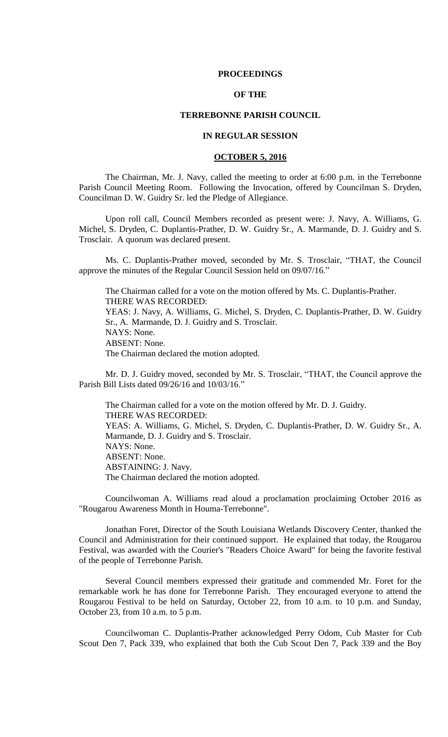### **PROCEEDINGS**

# **OF THE**

### **TERREBONNE PARISH COUNCIL**

## **IN REGULAR SESSION**

## **OCTOBER 5, 2016**

The Chairman, Mr. J. Navy, called the meeting to order at 6:00 p.m. in the Terrebonne Parish Council Meeting Room. Following the Invocation, offered by Councilman S. Dryden, Councilman D. W. Guidry Sr. led the Pledge of Allegiance.

Upon roll call, Council Members recorded as present were: J. Navy, A. Williams, G. Michel, S. Dryden, C. Duplantis-Prather, D. W. Guidry Sr., A. Marmande, D. J. Guidry and S. Trosclair. A quorum was declared present.

Ms. C. Duplantis-Prather moved, seconded by Mr. S. Trosclair, "THAT, the Council approve the minutes of the Regular Council Session held on 09/07/16."

The Chairman called for a vote on the motion offered by Ms. C. Duplantis-Prather. THERE WAS RECORDED: YEAS: J. Navy, A. Williams, G. Michel, S. Dryden, C. Duplantis-Prather, D. W. Guidry Sr., A. Marmande, D. J. Guidry and S. Trosclair. NAYS: None. ABSENT: None. The Chairman declared the motion adopted.

Mr. D. J. Guidry moved, seconded by Mr. S. Trosclair, "THAT, the Council approve the Parish Bill Lists dated 09/26/16 and 10/03/16."

The Chairman called for a vote on the motion offered by Mr. D. J. Guidry. THERE WAS RECORDED: YEAS: A. Williams, G. Michel, S. Dryden, C. Duplantis-Prather, D. W. Guidry Sr., A. Marmande, D. J. Guidry and S. Trosclair. NAYS: None. ABSENT: None. ABSTAINING: J. Navy. The Chairman declared the motion adopted.

Councilwoman A. Williams read aloud a proclamation proclaiming October 2016 as "Rougarou Awareness Month in Houma-Terrebonne".

Jonathan Foret, Director of the South Louisiana Wetlands Discovery Center, thanked the Council and Administration for their continued support. He explained that today, the Rougarou Festival, was awarded with the Courier's "Readers Choice Award" for being the favorite festival of the people of Terrebonne Parish.

Several Council members expressed their gratitude and commended Mr. Foret for the remarkable work he has done for Terrebonne Parish. They encouraged everyone to attend the Rougarou Festival to be held on Saturday, October 22, from 10 a.m. to 10 p.m. and Sunday, October 23, from 10 a.m. to 5 p.m.

Councilwoman C. Duplantis-Prather acknowledged Perry Odom, Cub Master for Cub Scout Den 7, Pack 339, who explained that both the Cub Scout Den 7, Pack 339 and the Boy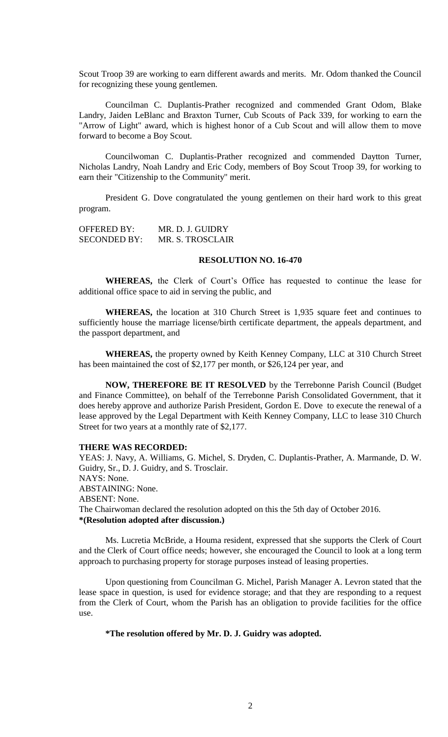Scout Troop 39 are working to earn different awards and merits. Mr. Odom thanked the Council for recognizing these young gentlemen.

Councilman C. Duplantis-Prather recognized and commended Grant Odom, Blake Landry, Jaiden LeBlanc and Braxton Turner, Cub Scouts of Pack 339, for working to earn the "Arrow of Light" award, which is highest honor of a Cub Scout and will allow them to move forward to become a Boy Scout.

Councilwoman C. Duplantis-Prather recognized and commended Daytton Turner, Nicholas Landry, Noah Landry and Eric Cody, members of Boy Scout Troop 39, for working to earn their "Citizenship to the Community" merit.

President G. Dove congratulated the young gentlemen on their hard work to this great program.

OFFERED BY: MR. D. J. GUIDRY SECONDED BY: MR. S. TROSCLAIR

#### **RESOLUTION NO. 16-470**

**WHEREAS,** the Clerk of Court's Office has requested to continue the lease for additional office space to aid in serving the public, and

**WHEREAS,** the location at 310 Church Street is 1,935 square feet and continues to sufficiently house the marriage license/birth certificate department, the appeals department, and the passport department, and

**WHEREAS,** the property owned by Keith Kenney Company, LLC at 310 Church Street has been maintained the cost of \$2,177 per month, or \$26,124 per year, and

**NOW, THEREFORE BE IT RESOLVED** by the Terrebonne Parish Council (Budget and Finance Committee), on behalf of the Terrebonne Parish Consolidated Government, that it does hereby approve and authorize Parish President, Gordon E. Dove to execute the renewal of a lease approved by the Legal Department with Keith Kenney Company, LLC to lease 310 Church Street for two years at a monthly rate of \$2,177.

#### **THERE WAS RECORDED:**

YEAS: J. Navy, A. Williams, G. Michel, S. Dryden, C. Duplantis-Prather, A. Marmande, D. W. Guidry, Sr., D. J. Guidry, and S. Trosclair. NAYS: None. ABSTAINING: None. ABSENT: None. The Chairwoman declared the resolution adopted on this the 5th day of October 2016. **\*(Resolution adopted after discussion.)**

Ms. Lucretia McBride, a Houma resident, expressed that she supports the Clerk of Court and the Clerk of Court office needs; however, she encouraged the Council to look at a long term approach to purchasing property for storage purposes instead of leasing properties.

Upon questioning from Councilman G. Michel, Parish Manager A. Levron stated that the lease space in question, is used for evidence storage; and that they are responding to a request from the Clerk of Court, whom the Parish has an obligation to provide facilities for the office use.

**\*The resolution offered by Mr. D. J. Guidry was adopted.**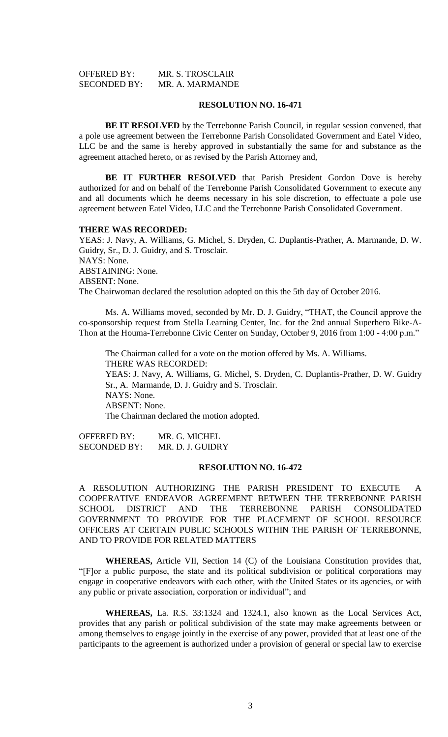| OFFERED BY:         | MR. S. TROSCLAIR |
|---------------------|------------------|
| <b>SECONDED BY:</b> | MR. A. MARMANDE  |

### **RESOLUTION NO. 16-471**

**BE IT RESOLVED** by the Terrebonne Parish Council, in regular session convened, that a pole use agreement between the Terrebonne Parish Consolidated Government and Eatel Video, LLC be and the same is hereby approved in substantially the same for and substance as the agreement attached hereto, or as revised by the Parish Attorney and,

**BE IT FURTHER RESOLVED** that Parish President Gordon Dove is hereby authorized for and on behalf of the Terrebonne Parish Consolidated Government to execute any and all documents which he deems necessary in his sole discretion, to effectuate a pole use agreement between Eatel Video, LLC and the Terrebonne Parish Consolidated Government.

#### **THERE WAS RECORDED:**

YEAS: J. Navy, A. Williams, G. Michel, S. Dryden, C. Duplantis-Prather, A. Marmande, D. W. Guidry, Sr., D. J. Guidry, and S. Trosclair. NAYS: None. ABSTAINING: None. ABSENT: None. The Chairwoman declared the resolution adopted on this the 5th day of October 2016.

Ms. A. Williams moved, seconded by Mr. D. J. Guidry, "THAT, the Council approve the co-sponsorship request from Stella Learning Center, Inc. for the 2nd annual Superhero Bike-A-Thon at the Houma-Terrebonne Civic Center on Sunday, October 9, 2016 from 1:00 - 4:00 p.m."

The Chairman called for a vote on the motion offered by Ms. A. Williams. THERE WAS RECORDED: YEAS: J. Navy, A. Williams, G. Michel, S. Dryden, C. Duplantis-Prather, D. W. Guidry Sr., A. Marmande, D. J. Guidry and S. Trosclair. NAYS: None. ABSENT: None. The Chairman declared the motion adopted.

OFFERED BY: MR. G. MICHEL SECONDED BY: MR. D. J. GUIDRY

### **RESOLUTION NO. 16-472**

A RESOLUTION AUTHORIZING THE PARISH PRESIDENT TO EXECUTE A COOPERATIVE ENDEAVOR AGREEMENT BETWEEN THE TERREBONNE PARISH SCHOOL DISTRICT AND THE TERREBONNE PARISH CONSOLIDATED GOVERNMENT TO PROVIDE FOR THE PLACEMENT OF SCHOOL RESOURCE OFFICERS AT CERTAIN PUBLIC SCHOOLS WITHIN THE PARISH OF TERREBONNE, AND TO PROVIDE FOR RELATED MATTERS

**WHEREAS,** Article VII, Section 14 (C) of the Louisiana Constitution provides that, "[F]or a public purpose, the state and its political subdivision or political corporations may engage in cooperative endeavors with each other, with the United States or its agencies, or with any public or private association, corporation or individual"; and

**WHEREAS,** La. R.S. 33:1324 and 1324.1, also known as the Local Services Act, provides that any parish or political subdivision of the state may make agreements between or among themselves to engage jointly in the exercise of any power, provided that at least one of the participants to the agreement is authorized under a provision of general or special law to exercise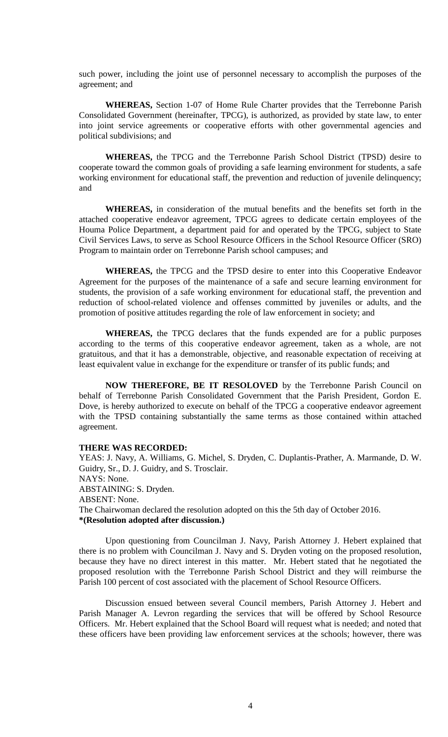such power, including the joint use of personnel necessary to accomplish the purposes of the agreement; and

**WHEREAS,** Section 1-07 of Home Rule Charter provides that the Terrebonne Parish Consolidated Government (hereinafter, TPCG), is authorized, as provided by state law, to enter into joint service agreements or cooperative efforts with other governmental agencies and political subdivisions; and

**WHEREAS,** the TPCG and the Terrebonne Parish School District (TPSD) desire to cooperate toward the common goals of providing a safe learning environment for students, a safe working environment for educational staff, the prevention and reduction of juvenile delinquency; and

**WHEREAS,** in consideration of the mutual benefits and the benefits set forth in the attached cooperative endeavor agreement, TPCG agrees to dedicate certain employees of the Houma Police Department, a department paid for and operated by the TPCG, subject to State Civil Services Laws, to serve as School Resource Officers in the School Resource Officer (SRO) Program to maintain order on Terrebonne Parish school campuses; and

**WHEREAS,** the TPCG and the TPSD desire to enter into this Cooperative Endeavor Agreement for the purposes of the maintenance of a safe and secure learning environment for students, the provision of a safe working environment for educational staff, the prevention and reduction of school-related violence and offenses committed by juveniles or adults, and the promotion of positive attitudes regarding the role of law enforcement in society; and

**WHEREAS,** the TPCG declares that the funds expended are for a public purposes according to the terms of this cooperative endeavor agreement, taken as a whole, are not gratuitous, and that it has a demonstrable, objective, and reasonable expectation of receiving at least equivalent value in exchange for the expenditure or transfer of its public funds; and

**NOW THEREFORE, BE IT RESOLOVED** by the Terrebonne Parish Council on behalf of Terrebonne Parish Consolidated Government that the Parish President, Gordon E. Dove, is hereby authorized to execute on behalf of the TPCG a cooperative endeavor agreement with the TPSD containing substantially the same terms as those contained within attached agreement.

### **THERE WAS RECORDED:**

YEAS: J. Navy, A. Williams, G. Michel, S. Dryden, C. Duplantis-Prather, A. Marmande, D. W. Guidry, Sr., D. J. Guidry, and S. Trosclair. NAYS: None. ABSTAINING: S. Dryden. ABSENT: None. The Chairwoman declared the resolution adopted on this the 5th day of October 2016. **\*(Resolution adopted after discussion.)**

Upon questioning from Councilman J. Navy, Parish Attorney J. Hebert explained that there is no problem with Councilman J. Navy and S. Dryden voting on the proposed resolution, because they have no direct interest in this matter. Mr. Hebert stated that he negotiated the proposed resolution with the Terrebonne Parish School District and they will reimburse the Parish 100 percent of cost associated with the placement of School Resource Officers.

Discussion ensued between several Council members, Parish Attorney J. Hebert and Parish Manager A. Levron regarding the services that will be offered by School Resource Officers. Mr. Hebert explained that the School Board will request what is needed; and noted that these officers have been providing law enforcement services at the schools; however, there was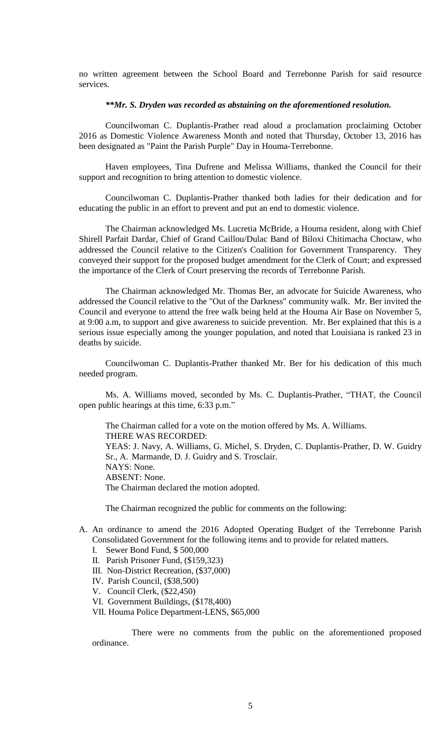no written agreement between the School Board and Terrebonne Parish for said resource services.

### *\*\*Mr. S. Dryden was recorded as abstaining on the aforementioned resolution.*

Councilwoman C. Duplantis-Prather read aloud a proclamation proclaiming October 2016 as Domestic Violence Awareness Month and noted that Thursday, October 13, 2016 has been designated as "Paint the Parish Purple" Day in Houma-Terrebonne.

Haven employees, Tina Dufrene and Melissa Williams, thanked the Council for their support and recognition to bring attention to domestic violence.

Councilwoman C. Duplantis-Prather thanked both ladies for their dedication and for educating the public in an effort to prevent and put an end to domestic violence.

The Chairman acknowledged Ms. Lucretia McBride, a Houma resident, along with Chief Shirell Parfait Dardar, Chief of Grand Caillou/Dulac Band of Biloxi Chitimacha Choctaw, who addressed the Council relative to the Citizen's Coalition for Government Transparency. They conveyed their support for the proposed budget amendment for the Clerk of Court; and expressed the importance of the Clerk of Court preserving the records of Terrebonne Parish.

The Chairman acknowledged Mr. Thomas Ber, an advocate for Suicide Awareness, who addressed the Council relative to the "Out of the Darkness" community walk. Mr. Ber invited the Council and everyone to attend the free walk being held at the Houma Air Base on November 5, at 9:00 a.m, to support and give awareness to suicide prevention. Mr. Ber explained that this is a serious issue especially among the younger population, and noted that Louisiana is ranked 23 in deaths by suicide.

Councilwoman C. Duplantis-Prather thanked Mr. Ber for his dedication of this much needed program.

Ms. A. Williams moved, seconded by Ms. C. Duplantis-Prather, "THAT, the Council open public hearings at this time, 6:33 p.m."

The Chairman called for a vote on the motion offered by Ms. A. Williams. THERE WAS RECORDED: YEAS: J. Navy, A. Williams, G. Michel, S. Dryden, C. Duplantis-Prather, D. W. Guidry Sr., A. Marmande, D. J. Guidry and S. Trosclair. NAYS: None. ABSENT: None. The Chairman declared the motion adopted.

The Chairman recognized the public for comments on the following:

- A. An ordinance to amend the 2016 Adopted Operating Budget of the Terrebonne Parish Consolidated Government for the following items and to provide for related matters.
	- I. Sewer Bond Fund, \$ 500,000
	- II. Parish Prisoner Fund, (\$159,323)
	- III. Non-District Recreation, (\$37,000)
	- IV. Parish Council, (\$38,500)
	- V. Council Clerk, (\$22,450)
	- VI. Government Buildings, (\$178,400)
	- VII. Houma Police Department-LENS, \$65,000

There were no comments from the public on the aforementioned proposed ordinance.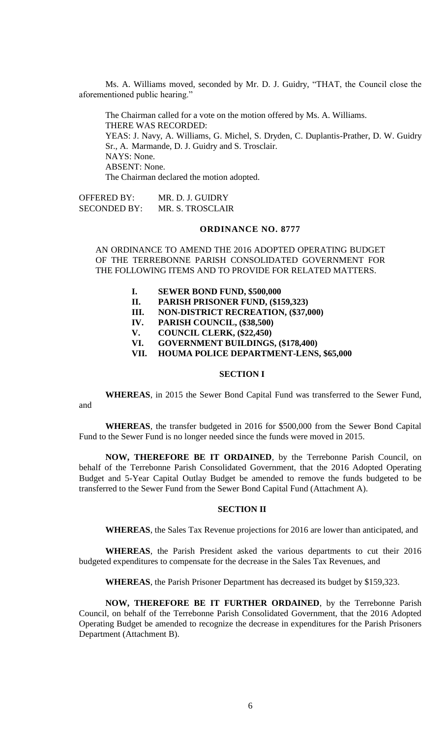Ms. A. Williams moved, seconded by Mr. D. J. Guidry, "THAT, the Council close the aforementioned public hearing."

The Chairman called for a vote on the motion offered by Ms. A. Williams. THERE WAS RECORDED: YEAS: J. Navy, A. Williams, G. Michel, S. Dryden, C. Duplantis-Prather, D. W. Guidry Sr., A. Marmande, D. J. Guidry and S. Trosclair. NAYS: None. ABSENT: None. The Chairman declared the motion adopted.

OFFERED BY: MR. D. J. GUIDRY SECONDED BY: MR. S. TROSCLAIR

# **ORDINANCE NO. 8777**

AN ORDINANCE TO AMEND THE 2016 ADOPTED OPERATING BUDGET OF THE TERREBONNE PARISH CONSOLIDATED GOVERNMENT FOR THE FOLLOWING ITEMS AND TO PROVIDE FOR RELATED MATTERS.

- **I. SEWER BOND FUND, \$500,000**
- **II. PARISH PRISONER FUND, (\$159,323)**
- **III. NON-DISTRICT RECREATION, (\$37,000)**
- **IV. PARISH COUNCIL, (\$38,500)**
- **V. COUNCIL CLERK, (\$22,450)**
- **VI. GOVERNMENT BUILDINGS, (\$178,400)**
- **VII. HOUMA POLICE DEPARTMENT-LENS, \$65,000**

## **SECTION I**

**WHEREAS**, in 2015 the Sewer Bond Capital Fund was transferred to the Sewer Fund,

and

**WHEREAS**, the transfer budgeted in 2016 for \$500,000 from the Sewer Bond Capital Fund to the Sewer Fund is no longer needed since the funds were moved in 2015.

**NOW, THEREFORE BE IT ORDAINED**, by the Terrebonne Parish Council, on behalf of the Terrebonne Parish Consolidated Government, that the 2016 Adopted Operating Budget and 5-Year Capital Outlay Budget be amended to remove the funds budgeted to be transferred to the Sewer Fund from the Sewer Bond Capital Fund (Attachment A).

## **SECTION II**

**WHEREAS**, the Sales Tax Revenue projections for 2016 are lower than anticipated, and

**WHEREAS**, the Parish President asked the various departments to cut their 2016 budgeted expenditures to compensate for the decrease in the Sales Tax Revenues, and

**WHEREAS**, the Parish Prisoner Department has decreased its budget by \$159,323.

**NOW, THEREFORE BE IT FURTHER ORDAINED**, by the Terrebonne Parish Council, on behalf of the Terrebonne Parish Consolidated Government, that the 2016 Adopted Operating Budget be amended to recognize the decrease in expenditures for the Parish Prisoners Department (Attachment B).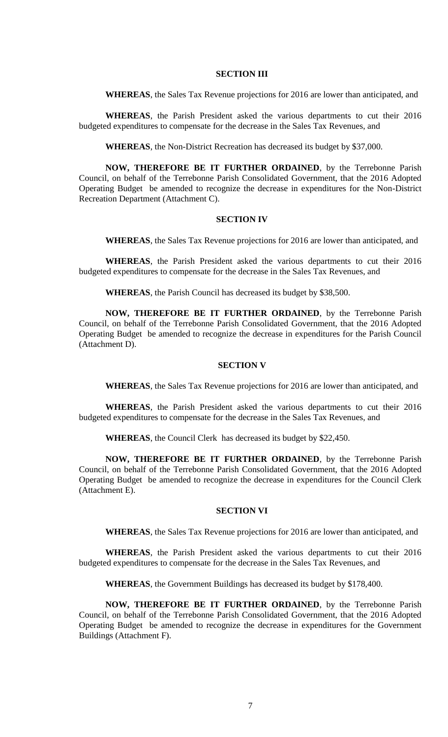### **SECTION III**

**WHEREAS**, the Sales Tax Revenue projections for 2016 are lower than anticipated, and

**WHEREAS**, the Parish President asked the various departments to cut their 2016 budgeted expenditures to compensate for the decrease in the Sales Tax Revenues, and

**WHEREAS**, the Non-District Recreation has decreased its budget by \$37,000.

**NOW, THEREFORE BE IT FURTHER ORDAINED**, by the Terrebonne Parish Council, on behalf of the Terrebonne Parish Consolidated Government, that the 2016 Adopted Operating Budget be amended to recognize the decrease in expenditures for the Non-District Recreation Department (Attachment C).

### **SECTION IV**

**WHEREAS**, the Sales Tax Revenue projections for 2016 are lower than anticipated, and

**WHEREAS**, the Parish President asked the various departments to cut their 2016 budgeted expenditures to compensate for the decrease in the Sales Tax Revenues, and

**WHEREAS**, the Parish Council has decreased its budget by \$38,500.

**NOW, THEREFORE BE IT FURTHER ORDAINED**, by the Terrebonne Parish Council, on behalf of the Terrebonne Parish Consolidated Government, that the 2016 Adopted Operating Budget be amended to recognize the decrease in expenditures for the Parish Council (Attachment D).

## **SECTION V**

**WHEREAS**, the Sales Tax Revenue projections for 2016 are lower than anticipated, and

**WHEREAS**, the Parish President asked the various departments to cut their 2016 budgeted expenditures to compensate for the decrease in the Sales Tax Revenues, and

**WHEREAS**, the Council Clerk has decreased its budget by \$22,450.

**NOW, THEREFORE BE IT FURTHER ORDAINED**, by the Terrebonne Parish Council, on behalf of the Terrebonne Parish Consolidated Government, that the 2016 Adopted Operating Budget be amended to recognize the decrease in expenditures for the Council Clerk (Attachment E).

### **SECTION VI**

**WHEREAS**, the Sales Tax Revenue projections for 2016 are lower than anticipated, and

**WHEREAS**, the Parish President asked the various departments to cut their 2016 budgeted expenditures to compensate for the decrease in the Sales Tax Revenues, and

**WHEREAS**, the Government Buildings has decreased its budget by \$178,400.

**NOW, THEREFORE BE IT FURTHER ORDAINED**, by the Terrebonne Parish Council, on behalf of the Terrebonne Parish Consolidated Government, that the 2016 Adopted Operating Budget be amended to recognize the decrease in expenditures for the Government Buildings (Attachment F).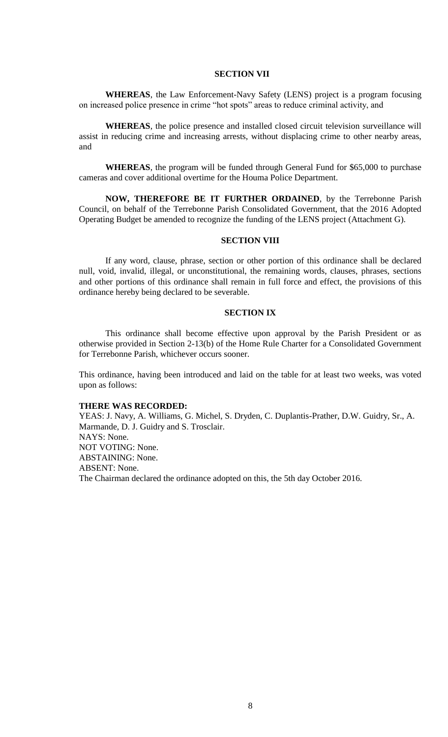### **SECTION VII**

**WHEREAS**, the Law Enforcement-Navy Safety (LENS) project is a program focusing on increased police presence in crime "hot spots" areas to reduce criminal activity, and

**WHEREAS**, the police presence and installed closed circuit television surveillance will assist in reducing crime and increasing arrests, without displacing crime to other nearby areas, and

**WHEREAS**, the program will be funded through General Fund for \$65,000 to purchase cameras and cover additional overtime for the Houma Police Department.

**NOW, THEREFORE BE IT FURTHER ORDAINED**, by the Terrebonne Parish Council, on behalf of the Terrebonne Parish Consolidated Government, that the 2016 Adopted Operating Budget be amended to recognize the funding of the LENS project (Attachment G).

## **SECTION VIII**

If any word, clause, phrase, section or other portion of this ordinance shall be declared null, void, invalid, illegal, or unconstitutional, the remaining words, clauses, phrases, sections and other portions of this ordinance shall remain in full force and effect, the provisions of this ordinance hereby being declared to be severable.

#### **SECTION IX**

This ordinance shall become effective upon approval by the Parish President or as otherwise provided in Section 2-13(b) of the Home Rule Charter for a Consolidated Government for Terrebonne Parish, whichever occurs sooner.

This ordinance, having been introduced and laid on the table for at least two weeks, was voted upon as follows:

#### **THERE WAS RECORDED:**

YEAS: J. Navy, A. Williams, G. Michel, S. Dryden, C. Duplantis-Prather, D.W. Guidry, Sr., A. Marmande, D. J. Guidry and S. Trosclair. NAYS: None. NOT VOTING: None. ABSTAINING: None. ABSENT: None. The Chairman declared the ordinance adopted on this, the 5th day October 2016.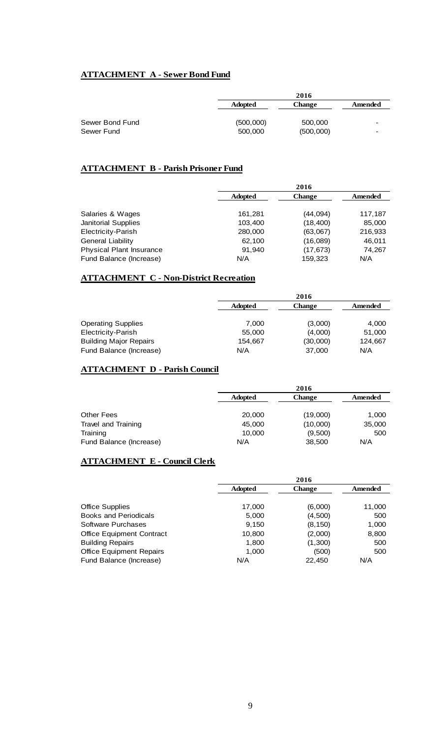# **ATTACHMENT A - Sewer Bond Fund**

|                 |                | 2016          |         |
|-----------------|----------------|---------------|---------|
|                 | <b>Adopted</b> | <b>Change</b> | Amended |
|                 |                |               |         |
| Sewer Bond Fund | (500,000)      | 500,000       |         |
| Sewer Fund      | 500,000        | (500,000)     |         |

# **ATTACHMENT B - Parish Prisoner Fund**

|                                 | 2016           |               |         |
|---------------------------------|----------------|---------------|---------|
|                                 | <b>Adopted</b> | <b>Change</b> | Amended |
|                                 |                |               |         |
| Salaries & Wages                | 161.281        | (44,094)      | 117,187 |
| <b>Janitorial Supplies</b>      | 103,400        | (18, 400)     | 85,000  |
| Electricity-Parish              | 280,000        | (63,067)      | 216,933 |
| <b>General Liability</b>        | 62,100         | (16,089)      | 46,011  |
| <b>Physical Plant Insurance</b> | 91,940         | (17, 673)     | 74,267  |
| Fund Balance (Increase)         | N/A            | 159.323       | N/A     |

# **ATTACHMENT C - Non-District Recreation**

|                               |                | 2016          |         |
|-------------------------------|----------------|---------------|---------|
|                               | <b>Adopted</b> | <b>Change</b> | Amended |
|                               |                |               |         |
| <b>Operating Supplies</b>     | 7,000          | (3,000)       | 4,000   |
| Electricity-Parish            | 55,000         | (4,000)       | 51,000  |
| <b>Building Major Repairs</b> | 154,667        | (30,000)      | 124,667 |
| Fund Balance (Increase)       | N/A            | 37,000        | N/A     |

# **ATTACHMENT D - Parish Council**

|                         |                | 2016          |         |
|-------------------------|----------------|---------------|---------|
|                         | <b>Adopted</b> | <b>Change</b> | Amended |
|                         |                |               |         |
| <b>Other Fees</b>       | 20,000         | (19,000)      | 1,000   |
| Travel and Training     | 45,000         | (10,000)      | 35,000  |
| Training                | 10,000         | (9,500)       | 500     |
| Fund Balance (Increase) | N/A            | 38,500        | N/A     |

# **ATTACHMENT E - Council Clerk**

|                                  | 2016           |               |         |
|----------------------------------|----------------|---------------|---------|
|                                  | <b>Adopted</b> | <b>Change</b> | Amended |
| <b>Office Supplies</b>           | 17,000         | (6,000)       | 11,000  |
| <b>Books and Periodicals</b>     | 5,000          | (4,500)       | 500     |
| Software Purchases               | 9,150          | (8, 150)      | 1,000   |
| <b>Office Equipment Contract</b> | 10,800         | (2,000)       | 8,800   |
| <b>Building Repairs</b>          | 1,800          | (1,300)       | 500     |
| <b>Office Equipment Repairs</b>  | 1,000          | (500)         | 500     |
| Fund Balance (Increase)          | N/A            | 22.450        | N/A     |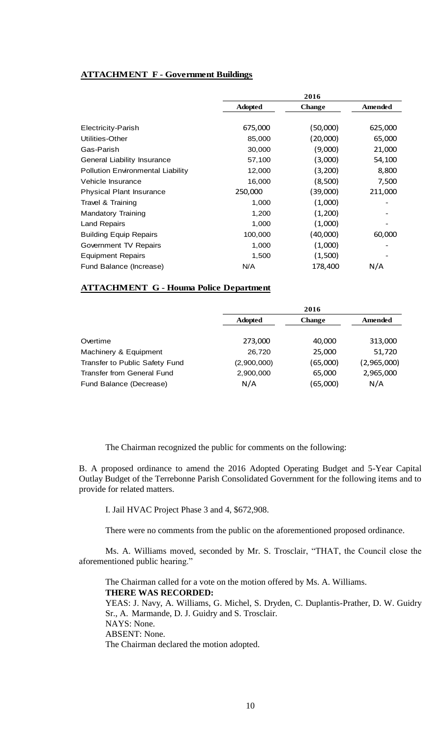# **ATTACHMENT F - Government Buildings**

|                                          |                | 2016          |         |
|------------------------------------------|----------------|---------------|---------|
|                                          | <b>Adopted</b> | <b>Change</b> | Amended |
|                                          |                |               |         |
| Electricity-Parish                       | 675,000        | (50,000)      | 625,000 |
| Utilities-Other                          | 85,000         | (20,000)      | 65,000  |
| Gas-Parish                               | 30,000         | (9,000)       | 21,000  |
| General Liability Insurance              | 57,100         | (3,000)       | 54,100  |
| <b>Pollution Environmental Liability</b> | 12,000         | (3,200)       | 8,800   |
| Vehicle Insurance                        | 16,000         | (8,500)       | 7,500   |
| <b>Physical Plant Insurance</b>          | 250,000        | (39,000)      | 211,000 |
| Travel & Training                        | 1,000          | (1,000)       |         |
| <b>Mandatory Training</b>                | 1,200          | (1,200)       |         |
| <b>Land Repairs</b>                      | 1,000          | (1,000)       |         |
| <b>Building Equip Repairs</b>            | 100,000        | (40,000)      | 60,000  |
| Government TV Repairs                    | 1,000          | (1,000)       |         |
| <b>Equipment Repairs</b>                 | 1,500          | (1,500)       |         |
| Fund Balance (Increase)                  | N/A            | 178,400       | N/A     |

# **ATTACHMENT G - Houma Police Department**

|                                |                | 2016          |             |
|--------------------------------|----------------|---------------|-------------|
|                                | <b>Adopted</b> | <b>Change</b> | Amended     |
|                                |                |               |             |
| Overtime                       | 273,000        | 40,000        | 313,000     |
| Machinery & Equipment          | 26,720         | 25,000        | 51,720      |
| Transfer to Public Safety Fund | (2,900,000)    | (65,000)      | (2,965,000) |
| Transfer from General Fund     | 2,900,000      | 65,000        | 2,965,000   |
| Fund Balance (Decrease)        | N/A            | (65,000)      | N/A         |

The Chairman recognized the public for comments on the following:

B. A proposed ordinance to amend the 2016 Adopted Operating Budget and 5-Year Capital Outlay Budget of the Terrebonne Parish Consolidated Government for the following items and to provide for related matters.

I. Jail HVAC Project Phase 3 and 4, \$672,908.

There were no comments from the public on the aforementioned proposed ordinance.

Ms. A. Williams moved, seconded by Mr. S. Trosclair, "THAT, the Council close the aforementioned public hearing."

The Chairman called for a vote on the motion offered by Ms. A. Williams. **THERE WAS RECORDED:** YEAS: J. Navy, A. Williams, G. Michel, S. Dryden, C. Duplantis-Prather, D. W. Guidry Sr., A. Marmande, D. J. Guidry and S. Trosclair. NAYS: None. ABSENT: None. The Chairman declared the motion adopted.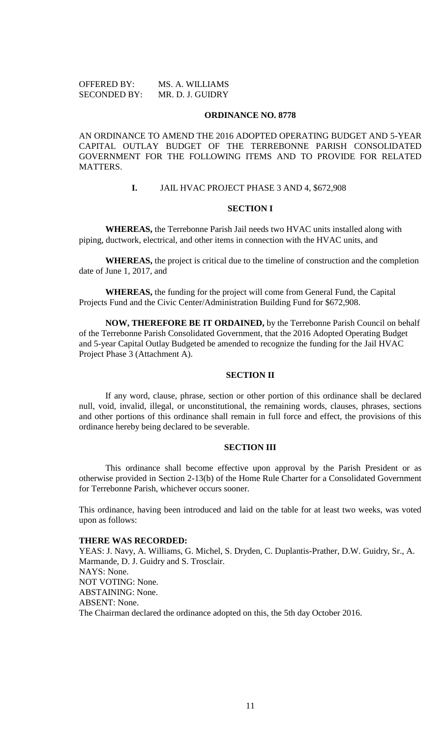| <b>OFFERED BY:</b>  | MS. A. WILLIAMS  |
|---------------------|------------------|
| <b>SECONDED BY:</b> | MR. D. J. GUIDRY |

#### **ORDINANCE NO. 8778**

AN ORDINANCE TO AMEND THE 2016 ADOPTED OPERATING BUDGET AND 5-YEAR CAPITAL OUTLAY BUDGET OF THE TERREBONNE PARISH CONSOLIDATED GOVERNMENT FOR THE FOLLOWING ITEMS AND TO PROVIDE FOR RELATED MATTERS.

# **I.** JAIL HVAC PROJECT PHASE 3 AND 4, \$672,908

#### **SECTION I**

**WHEREAS,** the Terrebonne Parish Jail needs two HVAC units installed along with piping, ductwork, electrical, and other items in connection with the HVAC units, and

**WHEREAS,** the project is critical due to the timeline of construction and the completion date of June 1, 2017, and

**WHEREAS,** the funding for the project will come from General Fund, the Capital Projects Fund and the Civic Center/Administration Building Fund for \$672,908.

**NOW, THEREFORE BE IT ORDAINED,** by the Terrebonne Parish Council on behalf of the Terrebonne Parish Consolidated Government, that the 2016 Adopted Operating Budget and 5-year Capital Outlay Budgeted be amended to recognize the funding for the Jail HVAC Project Phase 3 (Attachment A).

# **SECTION II**

If any word, clause, phrase, section or other portion of this ordinance shall be declared null, void, invalid, illegal, or unconstitutional, the remaining words, clauses, phrases, sections and other portions of this ordinance shall remain in full force and effect, the provisions of this ordinance hereby being declared to be severable.

### **SECTION III**

This ordinance shall become effective upon approval by the Parish President or as otherwise provided in Section 2-13(b) of the Home Rule Charter for a Consolidated Government for Terrebonne Parish, whichever occurs sooner.

This ordinance, having been introduced and laid on the table for at least two weeks, was voted upon as follows:

#### **THERE WAS RECORDED:**

YEAS: J. Navy, A. Williams, G. Michel, S. Dryden, C. Duplantis-Prather, D.W. Guidry, Sr., A. Marmande, D. J. Guidry and S. Trosclair. NAYS: None. NOT VOTING: None. ABSTAINING: None. ABSENT: None. The Chairman declared the ordinance adopted on this, the 5th day October 2016.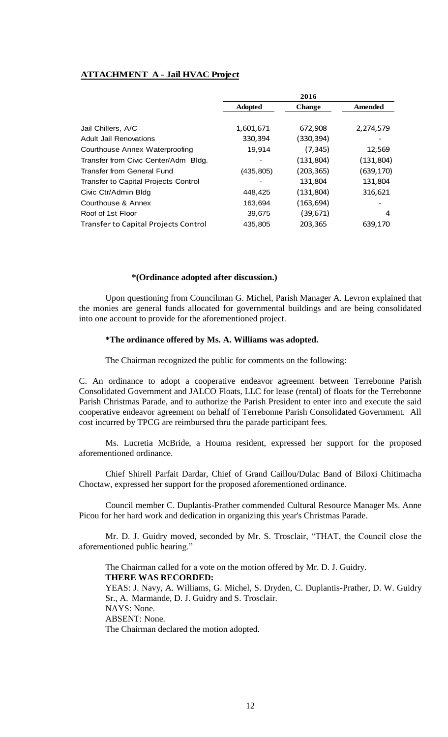# **ATTACHMENT A - Jail HVAC Project**

|                                             |                | 2016          |            |
|---------------------------------------------|----------------|---------------|------------|
|                                             | <b>Adopted</b> | <b>Change</b> | Amended    |
|                                             |                |               |            |
| Jail Chillers, A/C                          | 1,601,671      | 672,908       | 2,274,579  |
| <b>Adult Jail Renovations</b>               | 330,394        | (330, 394)    |            |
| Courthouse Annex Waterproofing              | 19,914         | (7, 345)      | 12,569     |
| Transfer from Civic Center/Adm Bldg.        |                | (131, 804)    | (131, 804) |
| <b>Transfer from General Fund</b>           | (435, 805)     | (203, 365)    | (639,170)  |
| Transfer to Capital Projects Control        |                | 131,804       | 131,804    |
| Civic Ctr/Admin Bldg                        | 448,425        | (131,804)     | 316,621    |
| Courthouse & Annex                          | 163,694        | (163, 694)    |            |
| Roof of 1st Floor                           | 39,675         | (39,671)      | 4          |
| <b>Transfer to Capital Projects Control</b> | 435,805        | 203,365       | 639,170    |

#### **\*(Ordinance adopted after discussion.)**

Upon questioning from Councilman G. Michel, Parish Manager A. Levron explained that the monies are general funds allocated for governmental buildings and are being consolidated into one account to provide for the aforementioned project.

### **\*The ordinance offered by Ms. A. Williams was adopted.**

The Chairman recognized the public for comments on the following:

C. An ordinance to adopt a cooperative endeavor agreement between Terrebonne Parish Consolidated Government and JALCO Floats, LLC for lease (rental) of floats for the Terrebonne Parish Christmas Parade, and to authorize the Parish President to enter into and execute the said cooperative endeavor agreement on behalf of Terrebonne Parish Consolidated Government. All cost incurred by TPCG are reimbursed thru the parade participant fees.

Ms. Lucretia McBride, a Houma resident, expressed her support for the proposed aforementioned ordinance.

Chief Shirell Parfait Dardar, Chief of Grand Caillou/Dulac Band of Biloxi Chitimacha Choctaw, expressed her support for the proposed aforementioned ordinance.

Council member C. Duplantis-Prather commended Cultural Resource Manager Ms. Anne Picou for her hard work and dedication in organizing this year's Christmas Parade.

Mr. D. J. Guidry moved, seconded by Mr. S. Trosclair, "THAT, the Council close the aforementioned public hearing."

The Chairman called for a vote on the motion offered by Mr. D. J. Guidry.

**THERE WAS RECORDED:**

YEAS: J. Navy, A. Williams, G. Michel, S. Dryden, C. Duplantis-Prather, D. W. Guidry Sr., A. Marmande, D. J. Guidry and S. Trosclair. NAYS: None. ABSENT: None. The Chairman declared the motion adopted.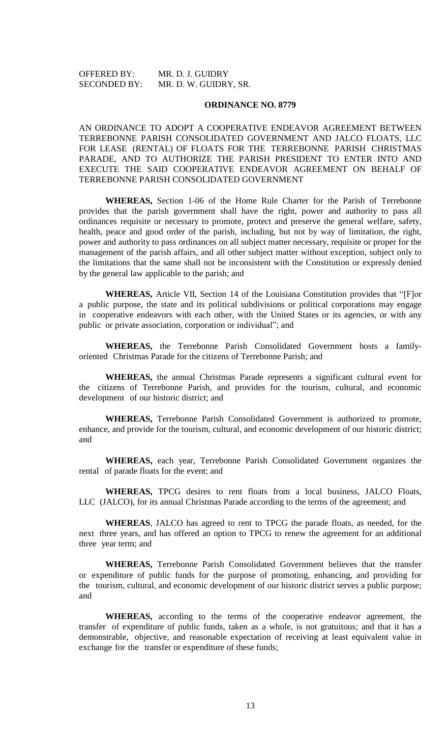OFFERED BY: MR. D. J. GUIDRY SECONDED BY: MR. D. W. GUIDRY, SR.

#### **ORDINANCE NO. 8779**

AN ORDINANCE TO ADOPT A COOPERATIVE ENDEAVOR AGREEMENT BETWEEN TERREBONNE PARISH CONSOLIDATED GOVERNMENT AND JALCO FLOATS, LLC FOR LEASE (RENTAL) OF FLOATS FOR THE TERREBONNE PARISH CHRISTMAS PARADE, AND TO AUTHORIZE THE PARISH PRESIDENT TO ENTER INTO AND EXECUTE THE SAID COOPERATIVE ENDEAVOR AGREEMENT ON BEHALF OF TERREBONNE PARISH CONSOLIDATED GOVERNMENT

**WHEREAS,** Section 1-06 of the Home Rule Charter for the Parish of Terrebonne provides that the parish government shall have the right, power and authority to pass all ordinances requisite or necessary to promote, protect and preserve the general welfare, safety, health, peace and good order of the parish, including, but not by way of limitation, the right, power and authority to pass ordinances on all subject matter necessary, requisite or proper for the management of the parish affairs, and all other subject matter without exception, subject only to the limitations that the same shall not be inconsistent with the Constitution or expressly denied by the general law applicable to the parish; and

**WHEREAS,** Article VII, Section 14 of the Louisiana Constitution provides that "[F]or a public purpose, the state and its political subdivisions or political corporations may engage in cooperative endeavors with each other, with the United States or its agencies, or with any public or private association, corporation or individual"; and

**WHEREAS,** the Terrebonne Parish Consolidated Government hosts a familyoriented Christmas Parade for the citizens of Terrebonne Parish; and

**WHEREAS,** the annual Christmas Parade represents a significant cultural event for the citizens of Terrebonne Parish, and provides for the tourism, cultural, and economic development of our historic district; and

**WHEREAS,** Terrebonne Parish Consolidated Government is authorized to promote, enhance, and provide for the tourism, cultural, and economic development of our historic district; and

**WHEREAS,** each year, Terrebonne Parish Consolidated Government organizes the rental of parade floats for the event; and

**WHEREAS,** TPCG desires to rent floats from a local business, JALCO Floats, LLC (JALCO), for its annual Christmas Parade according to the terms of the agreement; and

**WHEREAS**, JALCO has agreed to rent to TPCG the parade floats, as needed, for the next three years, and has offered an option to TPCG to renew the agreement for an additional three year term; and

**WHEREAS,** Terrebonne Parish Consolidated Government believes that the transfer or expenditure of public funds for the purpose of promoting, enhancing, and providing for the tourism, cultural, and economic development of our historic district serves a public purpose; and

**WHEREAS,** according to the terms of the cooperative endeavor agreement, the transfer of expenditure of public funds, taken as a whole, is not gratuitous; and that it has a demonstrable, objective, and reasonable expectation of receiving at least equivalent value in exchange for the transfer or expenditure of these funds;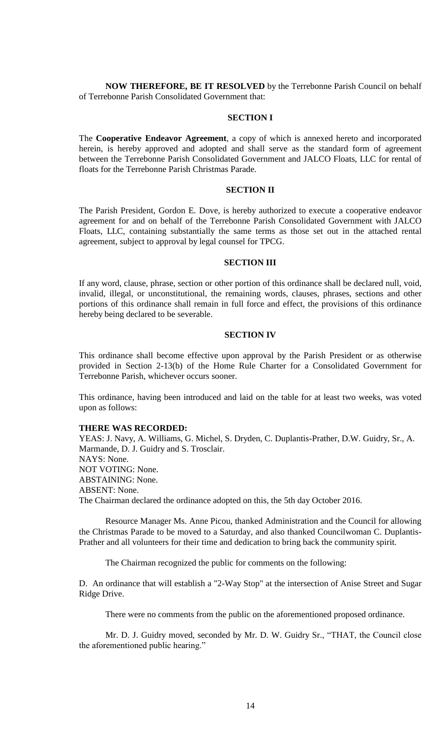**NOW THEREFORE, BE IT RESOLVED** by the Terrebonne Parish Council on behalf of Terrebonne Parish Consolidated Government that:

### **SECTION I**

The **Cooperative Endeavor Agreement**, a copy of which is annexed hereto and incorporated herein, is hereby approved and adopted and shall serve as the standard form of agreement between the Terrebonne Parish Consolidated Government and JALCO Floats, LLC for rental of floats for the Terrebonne Parish Christmas Parade.

### **SECTION II**

The Parish President, Gordon E. Dove, is hereby authorized to execute a cooperative endeavor agreement for and on behalf of the Terrebonne Parish Consolidated Government with JALCO Floats, LLC, containing substantially the same terms as those set out in the attached rental agreement, subject to approval by legal counsel for TPCG.

### **SECTION III**

If any word, clause, phrase, section or other portion of this ordinance shall be declared null, void, invalid, illegal, or unconstitutional, the remaining words, clauses, phrases, sections and other portions of this ordinance shall remain in full force and effect, the provisions of this ordinance hereby being declared to be severable.

### **SECTION IV**

This ordinance shall become effective upon approval by the Parish President or as otherwise provided in Section 2-13(b) of the Home Rule Charter for a Consolidated Government for Terrebonne Parish, whichever occurs sooner.

This ordinance, having been introduced and laid on the table for at least two weeks, was voted upon as follows:

### **THERE WAS RECORDED:**

YEAS: J. Navy, A. Williams, G. Michel, S. Dryden, C. Duplantis-Prather, D.W. Guidry, Sr., A. Marmande, D. J. Guidry and S. Trosclair. NAYS: None. NOT VOTING: None. ABSTAINING: None. ABSENT: None. The Chairman declared the ordinance adopted on this, the 5th day October 2016.

Resource Manager Ms. Anne Picou, thanked Administration and the Council for allowing the Christmas Parade to be moved to a Saturday, and also thanked Councilwoman C. Duplantis-Prather and all volunteers for their time and dedication to bring back the community spirit.

The Chairman recognized the public for comments on the following:

D. An ordinance that will establish a "2-Way Stop" at the intersection of Anise Street and Sugar Ridge Drive.

There were no comments from the public on the aforementioned proposed ordinance.

Mr. D. J. Guidry moved, seconded by Mr. D. W. Guidry Sr., "THAT, the Council close the aforementioned public hearing."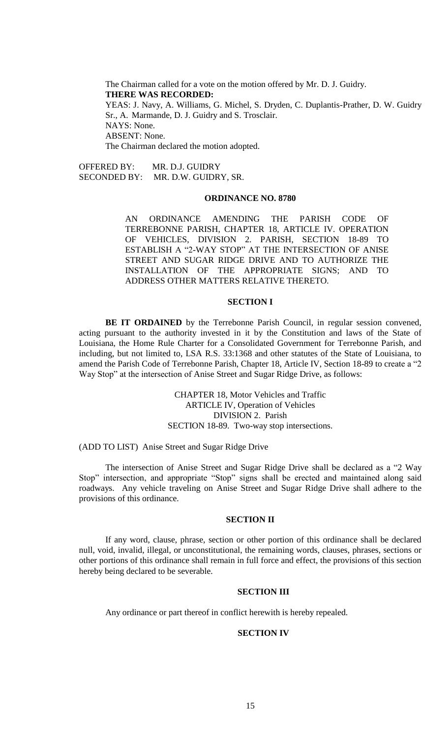The Chairman called for a vote on the motion offered by Mr. D. J. Guidry. **THERE WAS RECORDED:** YEAS: J. Navy, A. Williams, G. Michel, S. Dryden, C. Duplantis-Prather, D. W. Guidry Sr., A. Marmande, D. J. Guidry and S. Trosclair. NAYS: None. ABSENT: None. The Chairman declared the motion adopted.

OFFERED BY: MR. D.J. GUIDRY SECONDED BY: MR. D.W. GUIDRY, SR.

#### **ORDINANCE NO. 8780**

AN ORDINANCE AMENDING THE PARISH CODE OF TERREBONNE PARISH, CHAPTER 18, ARTICLE IV. OPERATION OF VEHICLES, DIVISION 2. PARISH, SECTION 18-89 TO ESTABLISH A "2-WAY STOP" AT THE INTERSECTION OF ANISE STREET AND SUGAR RIDGE DRIVE AND TO AUTHORIZE THE INSTALLATION OF THE APPROPRIATE SIGNS; AND TO ADDRESS OTHER MATTERS RELATIVE THERETO.

### **SECTION I**

**BE IT ORDAINED** by the Terrebonne Parish Council, in regular session convened, acting pursuant to the authority invested in it by the Constitution and laws of the State of Louisiana, the Home Rule Charter for a Consolidated Government for Terrebonne Parish, and including, but not limited to, LSA R.S. 33:1368 and other statutes of the State of Louisiana, to amend the Parish Code of Terrebonne Parish, Chapter 18, Article IV, Section 18-89 to create a "2 Way Stop" at the intersection of Anise Street and Sugar Ridge Drive, as follows:

> CHAPTER 18, Motor Vehicles and Traffic ARTICLE IV, Operation of Vehicles DIVISION 2. Parish SECTION 18-89. Two-way stop intersections.

(ADD TO LIST) Anise Street and Sugar Ridge Drive

The intersection of Anise Street and Sugar Ridge Drive shall be declared as a "2 Way Stop" intersection, and appropriate "Stop" signs shall be erected and maintained along said roadways. Any vehicle traveling on Anise Street and Sugar Ridge Drive shall adhere to the provisions of this ordinance.

#### **SECTION II**

If any word, clause, phrase, section or other portion of this ordinance shall be declared null, void, invalid, illegal, or unconstitutional, the remaining words, clauses, phrases, sections or other portions of this ordinance shall remain in full force and effect, the provisions of this section hereby being declared to be severable.

### **SECTION III**

Any ordinance or part thereof in conflict herewith is hereby repealed.

### **SECTION IV**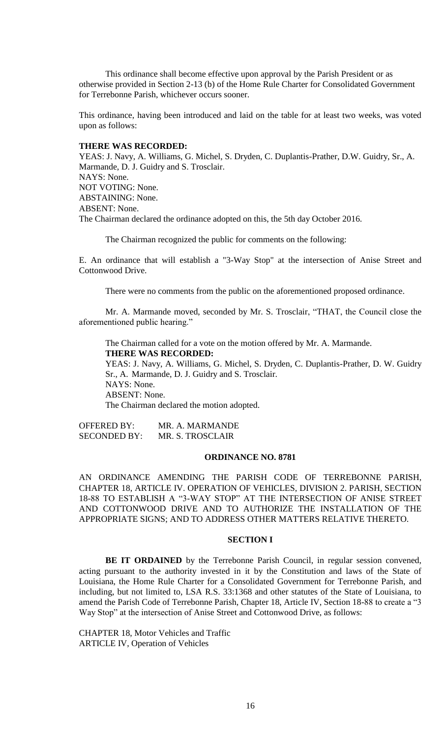This ordinance shall become effective upon approval by the Parish President or as otherwise provided in Section 2-13 (b) of the Home Rule Charter for Consolidated Government for Terrebonne Parish, whichever occurs sooner.

This ordinance, having been introduced and laid on the table for at least two weeks, was voted upon as follows:

# **THERE WAS RECORDED:**

YEAS: J. Navy, A. Williams, G. Michel, S. Dryden, C. Duplantis-Prather, D.W. Guidry, Sr., A. Marmande, D. J. Guidry and S. Trosclair. NAYS: None. NOT VOTING: None. ABSTAINING: None. ABSENT: None. The Chairman declared the ordinance adopted on this, the 5th day October 2016.

The Chairman recognized the public for comments on the following:

E. An ordinance that will establish a "3-Way Stop" at the intersection of Anise Street and Cottonwood Drive.

There were no comments from the public on the aforementioned proposed ordinance.

Mr. A. Marmande moved, seconded by Mr. S. Trosclair, "THAT, the Council close the aforementioned public hearing."

The Chairman called for a vote on the motion offered by Mr. A. Marmande. **THERE WAS RECORDED:**

YEAS: J. Navy, A. Williams, G. Michel, S. Dryden, C. Duplantis-Prather, D. W. Guidry Sr., A. Marmande, D. J. Guidry and S. Trosclair. NAYS: None. ABSENT: None. The Chairman declared the motion adopted.

OFFERED BY: MR. A. MARMANDE SECONDED BY: MR. S. TROSCLAIR

### **ORDINANCE NO. 8781**

AN ORDINANCE AMENDING THE PARISH CODE OF TERREBONNE PARISH, CHAPTER 18, ARTICLE IV. OPERATION OF VEHICLES, DIVISION 2. PARISH, SECTION 18-88 TO ESTABLISH A "3-WAY STOP" AT THE INTERSECTION OF ANISE STREET AND COTTONWOOD DRIVE AND TO AUTHORIZE THE INSTALLATION OF THE APPROPRIATE SIGNS; AND TO ADDRESS OTHER MATTERS RELATIVE THERETO.

# **SECTION I**

BE IT ORDAINED by the Terrebonne Parish Council, in regular session convened, acting pursuant to the authority invested in it by the Constitution and laws of the State of Louisiana, the Home Rule Charter for a Consolidated Government for Terrebonne Parish, and including, but not limited to, LSA R.S. 33:1368 and other statutes of the State of Louisiana, to amend the Parish Code of Terrebonne Parish, Chapter 18, Article IV, Section 18-88 to create a "3 Way Stop" at the intersection of Anise Street and Cottonwood Drive, as follows:

CHAPTER 18, Motor Vehicles and Traffic ARTICLE IV, Operation of Vehicles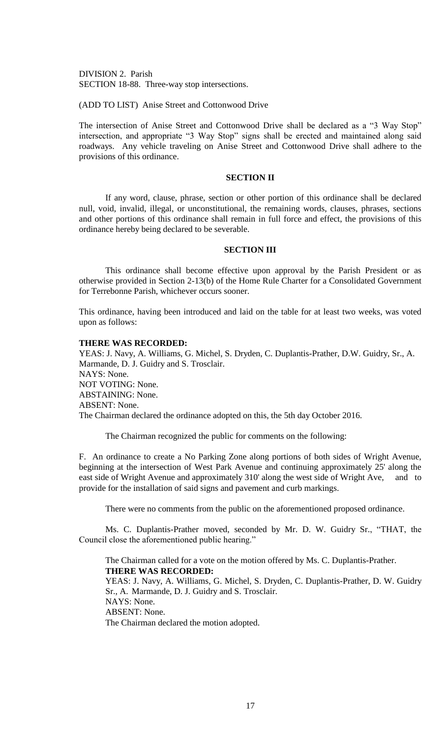DIVISION 2. Parish SECTION 18-88. Three-way stop intersections.

(ADD TO LIST) Anise Street and Cottonwood Drive

The intersection of Anise Street and Cottonwood Drive shall be declared as a "3 Way Stop" intersection, and appropriate "3 Way Stop" signs shall be erected and maintained along said roadways. Any vehicle traveling on Anise Street and Cottonwood Drive shall adhere to the provisions of this ordinance.

# **SECTION II**

If any word, clause, phrase, section or other portion of this ordinance shall be declared null, void, invalid, illegal, or unconstitutional, the remaining words, clauses, phrases, sections and other portions of this ordinance shall remain in full force and effect, the provisions of this ordinance hereby being declared to be severable.

#### **SECTION III**

This ordinance shall become effective upon approval by the Parish President or as otherwise provided in Section 2-13(b) of the Home Rule Charter for a Consolidated Government for Terrebonne Parish, whichever occurs sooner.

This ordinance, having been introduced and laid on the table for at least two weeks, was voted upon as follows:

## **THERE WAS RECORDED:**

YEAS: J. Navy, A. Williams, G. Michel, S. Dryden, C. Duplantis-Prather, D.W. Guidry, Sr., A. Marmande, D. J. Guidry and S. Trosclair. NAYS: None. NOT VOTING: None. ABSTAINING: None. ABSENT: None. The Chairman declared the ordinance adopted on this, the 5th day October 2016.

The Chairman recognized the public for comments on the following:

F. An ordinance to create a No Parking Zone along portions of both sides of Wright Avenue, beginning at the intersection of West Park Avenue and continuing approximately 25' along the east side of Wright Avenue and approximately 310' along the west side of Wright Ave, and to provide for the installation of said signs and pavement and curb markings.

There were no comments from the public on the aforementioned proposed ordinance.

Ms. C. Duplantis-Prather moved, seconded by Mr. D. W. Guidry Sr., "THAT, the Council close the aforementioned public hearing."

The Chairman called for a vote on the motion offered by Ms. C. Duplantis-Prather. **THERE WAS RECORDED:** YEAS: J. Navy, A. Williams, G. Michel, S. Dryden, C. Duplantis-Prather, D. W. Guidry Sr., A. Marmande, D. J. Guidry and S. Trosclair. NAYS: None. ABSENT: None. The Chairman declared the motion adopted.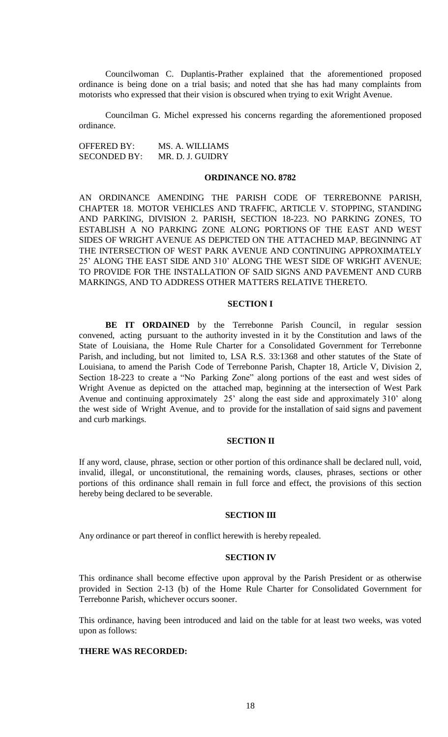Councilwoman C. Duplantis-Prather explained that the aforementioned proposed ordinance is being done on a trial basis; and noted that she has had many complaints from motorists who expressed that their vision is obscured when trying to exit Wright Avenue.

Councilman G. Michel expressed his concerns regarding the aforementioned proposed ordinance.

OFFERED BY: MS. A. WILLIAMS SECONDED BY: MR. D. J. GUIDRY

### **ORDINANCE NO. 8782**

AN ORDINANCE AMENDING THE PARISH CODE OF TERREBONNE PARISH, CHAPTER 18. MOTOR VEHICLES AND TRAFFIC, ARTICLE V. STOPPING, STANDING AND PARKING, DIVISION 2. PARISH, SECTION 18-223. NO PARKING ZONES, TO ESTABLISH A NO PARKING ZONE ALONG PORTIONS OF THE EAST AND WEST SIDES OF WRIGHT AVENUE AS DEPICTED ON THE ATTACHED MAP, BEGINNING AT THE INTERSECTION OF WEST PARK AVENUE AND CONTINUING APPROXIMATELY 25' ALONG THE EAST SIDE AND 310' ALONG THE WEST SIDE OF WRIGHT AVENUE; TO PROVIDE FOR THE INSTALLATION OF SAID SIGNS AND PAVEMENT AND CURB MARKINGS, AND TO ADDRESS OTHER MATTERS RELATIVE THERETO.

# **SECTION I**

**BE IT ORDAINED** by the Terrebonne Parish Council, in regular session convened, acting pursuant to the authority invested in it by the Constitution and laws of the State of Louisiana, the Home Rule Charter for a Consolidated Government for Terrebonne Parish, and including, but not limited to, LSA R.S. 33:1368 and other statutes of the State of Louisiana, to amend the Parish Code of Terrebonne Parish, Chapter 18, Article V, Division 2, Section 18-223 to create a "No Parking Zone" along portions of the east and west sides of Wright Avenue as depicted on the attached map, beginning at the intersection of West Park Avenue and continuing approximately 25' along the east side and approximately 310' along the west side of Wright Avenue, and to provide for the installation of said signs and pavement and curb markings.

## **SECTION II**

If any word, clause, phrase, section or other portion of this ordinance shall be declared null, void, invalid, illegal, or unconstitutional, the remaining words, clauses, phrases, sections or other portions of this ordinance shall remain in full force and effect, the provisions of this section hereby being declared to be severable.

### **SECTION III**

Any ordinance or part thereof in conflict herewith is hereby repealed.

#### **SECTION IV**

This ordinance shall become effective upon approval by the Parish President or as otherwise provided in Section 2-13 (b) of the Home Rule Charter for Consolidated Government for Terrebonne Parish, whichever occurs sooner.

This ordinance, having been introduced and laid on the table for at least two weeks, was voted upon as follows:

# **THERE WAS RECORDED:**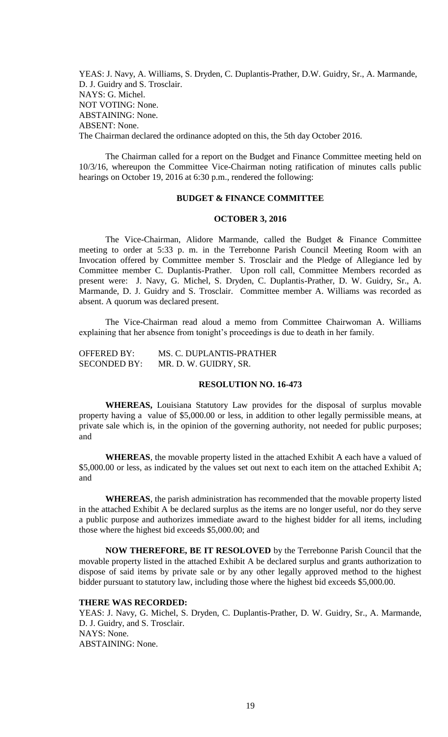YEAS: J. Navy, A. Williams, S. Dryden, C. Duplantis-Prather, D.W. Guidry, Sr., A. Marmande, D. J. Guidry and S. Trosclair. NAYS: G. Michel. NOT VOTING: None. ABSTAINING: None. ABSENT: None. The Chairman declared the ordinance adopted on this, the 5th day October 2016.

The Chairman called for a report on the Budget and Finance Committee meeting held on 10/3/16, whereupon the Committee Vice-Chairman noting ratification of minutes calls public hearings on October 19, 2016 at 6:30 p.m., rendered the following:

### **BUDGET & FINANCE COMMITTEE**

#### **OCTOBER 3, 2016**

The Vice-Chairman, Alidore Marmande, called the Budget & Finance Committee meeting to order at 5:33 p. m. in the Terrebonne Parish Council Meeting Room with an Invocation offered by Committee member S. Trosclair and the Pledge of Allegiance led by Committee member C. Duplantis-Prather. Upon roll call, Committee Members recorded as present were: J. Navy, G. Michel, S. Dryden, C. Duplantis-Prather, D. W. Guidry, Sr., A. Marmande, D. J. Guidry and S. Trosclair. Committee member A. Williams was recorded as absent. A quorum was declared present.

The Vice-Chairman read aloud a memo from Committee Chairwoman A. Williams explaining that her absence from tonight's proceedings is due to death in her family.

| <b>OFFERED BY:</b>  | MS. C. DUPLANTIS-PRATHER |
|---------------------|--------------------------|
| <b>SECONDED BY:</b> | MR. D. W. GUIDRY, SR.    |

### **RESOLUTION NO. 16-473**

**WHEREAS,** Louisiana Statutory Law provides for the disposal of surplus movable property having a value of \$5,000.00 or less, in addition to other legally permissible means, at private sale which is, in the opinion of the governing authority, not needed for public purposes; and

**WHEREAS**, the movable property listed in the attached Exhibit A each have a valued of \$5,000.00 or less, as indicated by the values set out next to each item on the attached Exhibit A; and

**WHEREAS**, the parish administration has recommended that the movable property listed in the attached Exhibit A be declared surplus as the items are no longer useful, nor do they serve a public purpose and authorizes immediate award to the highest bidder for all items, including those where the highest bid exceeds \$5,000.00; and

**NOW THEREFORE, BE IT RESOLOVED** by the Terrebonne Parish Council that the movable property listed in the attached Exhibit A be declared surplus and grants authorization to dispose of said items by private sale or by any other legally approved method to the highest bidder pursuant to statutory law, including those where the highest bid exceeds \$5,000.00.

### **THERE WAS RECORDED:**

YEAS: J. Navy, G. Michel, S. Dryden, C. Duplantis-Prather, D. W. Guidry, Sr., A. Marmande, D. J. Guidry, and S. Trosclair. NAYS: None. ABSTAINING: None.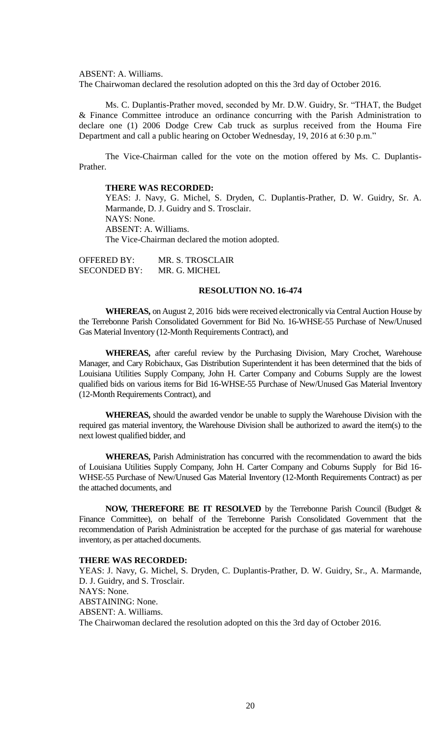ABSENT: A. Williams.

The Chairwoman declared the resolution adopted on this the 3rd day of October 2016.

Ms. C. Duplantis-Prather moved, seconded by Mr. D.W. Guidry, Sr. "THAT, the Budget & Finance Committee introduce an ordinance concurring with the Parish Administration to declare one (1) 2006 Dodge Crew Cab truck as surplus received from the Houma Fire Department and call a public hearing on October Wednesday, 19, 2016 at 6:30 p.m."

The Vice-Chairman called for the vote on the motion offered by Ms. C. Duplantis-Prather.

### **THERE WAS RECORDED:**

YEAS: J. Navy, G. Michel, S. Dryden, C. Duplantis-Prather, D. W. Guidry, Sr. A. Marmande, D. J. Guidry and S. Trosclair. NAYS: None. ABSENT: A. Williams.

The Vice-Chairman declared the motion adopted.

OFFERED BY: MR. S. TROSCLAIR SECONDED BY: MR. G. MICHEL

# **RESOLUTION NO. 16-474**

**WHEREAS,** on August 2, 2016 bids were received electronically via Central Auction House by the Terrebonne Parish Consolidated Government for Bid No. 16-WHSE-55 Purchase of New/Unused Gas Material Inventory (12-Month Requirements Contract), and

**WHEREAS,** after careful review by the Purchasing Division, Mary Crochet, Warehouse Manager, and Cary Robichaux, Gas Distribution Superintendent it has been determined that the bids of Louisiana Utilities Supply Company, John H. Carter Company and Coburns Supply are the lowest qualified bids on various items for Bid 16-WHSE-55 Purchase of New/Unused Gas Material Inventory (12-Month Requirements Contract), and

**WHEREAS,** should the awarded vendor be unable to supply the Warehouse Division with the required gas material inventory, the Warehouse Division shall be authorized to award the item(s) to the next lowest qualified bidder, and

**WHEREAS,** Parish Administration has concurred with the recommendation to award the bids of Louisiana Utilities Supply Company, John H. Carter Company and Coburns Supply for Bid 16- WHSE-55 Purchase of New/Unused Gas Material Inventory (12-Month Requirements Contract) as per the attached documents, and

**NOW, THEREFORE BE IT RESOLVED** by the Terrebonne Parish Council (Budget & Finance Committee), on behalf of the Terrebonne Parish Consolidated Government that the recommendation of Parish Administration be accepted for the purchase of gas material for warehouse inventory, as per attached documents.

### **THERE WAS RECORDED:**

YEAS: J. Navy, G. Michel, S. Dryden, C. Duplantis-Prather, D. W. Guidry, Sr., A. Marmande, D. J. Guidry, and S. Trosclair. NAYS: None. ABSTAINING: None. ABSENT: A. Williams. The Chairwoman declared the resolution adopted on this the 3rd day of October 2016.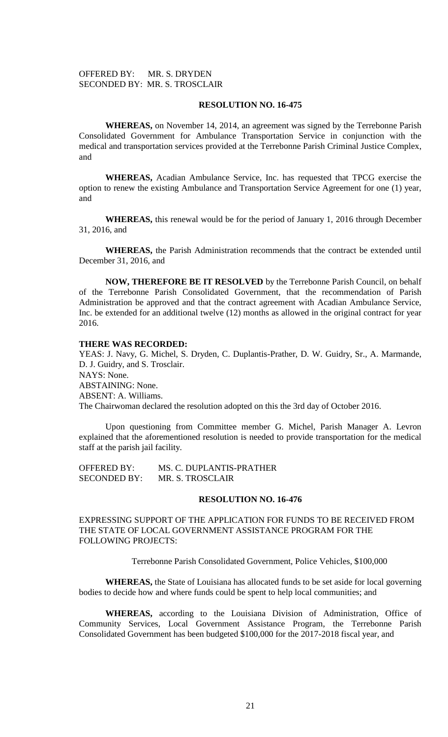# OFFERED BY: MR. S. DRYDEN SECONDED BY: MR. S. TROSCLAIR

### **RESOLUTION NO. 16-475**

**WHEREAS,** on November 14, 2014, an agreement was signed by the Terrebonne Parish Consolidated Government for Ambulance Transportation Service in conjunction with the medical and transportation services provided at the Terrebonne Parish Criminal Justice Complex, and

**WHEREAS,** Acadian Ambulance Service, Inc. has requested that TPCG exercise the option to renew the existing Ambulance and Transportation Service Agreement for one (1) year, and

**WHEREAS,** this renewal would be for the period of January 1, 2016 through December 31, 2016, and

**WHEREAS,** the Parish Administration recommends that the contract be extended until December 31, 2016, and

**NOW, THEREFORE BE IT RESOLVED** by the Terrebonne Parish Council, on behalf of the Terrebonne Parish Consolidated Government, that the recommendation of Parish Administration be approved and that the contract agreement with Acadian Ambulance Service, Inc. be extended for an additional twelve (12) months as allowed in the original contract for year 2016.

### **THERE WAS RECORDED:**

YEAS: J. Navy, G. Michel, S. Dryden, C. Duplantis-Prather, D. W. Guidry, Sr., A. Marmande, D. J. Guidry, and S. Trosclair. NAYS: None. ABSTAINING: None. ABSENT: A. Williams. The Chairwoman declared the resolution adopted on this the 3rd day of October 2016.

Upon questioning from Committee member G. Michel, Parish Manager A. Levron explained that the aforementioned resolution is needed to provide transportation for the medical staff at the parish jail facility.

OFFERED BY: MS. C. DUPLANTIS-PRATHER SECONDED BY: MR. S. TROSCLAIR

## **RESOLUTION NO. 16-476**

EXPRESSING SUPPORT OF THE APPLICATION FOR FUNDS TO BE RECEIVED FROM THE STATE OF LOCAL GOVERNMENT ASSISTANCE PROGRAM FOR THE FOLLOWING PROJECTS:

Terrebonne Parish Consolidated Government, Police Vehicles, \$100,000

**WHEREAS,** the State of Louisiana has allocated funds to be set aside for local governing bodies to decide how and where funds could be spent to help local communities; and

**WHEREAS,** according to the Louisiana Division of Administration, Office of Community Services, Local Government Assistance Program, the Terrebonne Parish Consolidated Government has been budgeted \$100,000 for the 2017-2018 fiscal year, and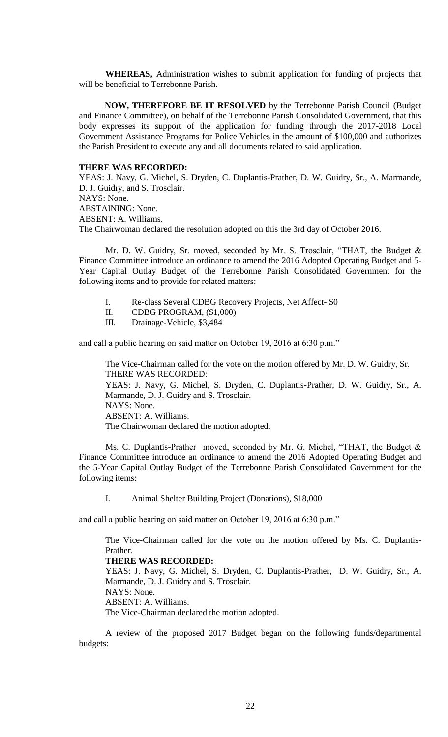**WHEREAS,** Administration wishes to submit application for funding of projects that will be beneficial to Terrebonne Parish.

**NOW, THEREFORE BE IT RESOLVED** by the Terrebonne Parish Council (Budget and Finance Committee), on behalf of the Terrebonne Parish Consolidated Government, that this body expresses its support of the application for funding through the 2017-2018 Local Government Assistance Programs for Police Vehicles in the amount of \$100,000 and authorizes the Parish President to execute any and all documents related to said application.

## **THERE WAS RECORDED:**

YEAS: J. Navy, G. Michel, S. Dryden, C. Duplantis-Prather, D. W. Guidry, Sr., A. Marmande, D. J. Guidry, and S. Trosclair. NAYS: None. ABSTAINING: None. ABSENT: A. Williams. The Chairwoman declared the resolution adopted on this the 3rd day of October 2016.

Mr. D. W. Guidry, Sr. moved, seconded by Mr. S. Trosclair, "THAT, the Budget & Finance Committee introduce an ordinance to amend the 2016 Adopted Operating Budget and 5- Year Capital Outlay Budget of the Terrebonne Parish Consolidated Government for the following items and to provide for related matters:

- I. Re-class Several CDBG Recovery Projects, Net Affect- \$0
- II. CDBG PROGRAM, (\$1,000)
- III. Drainage-Vehicle, \$3,484

and call a public hearing on said matter on October 19, 2016 at 6:30 p.m."

The Vice-Chairman called for the vote on the motion offered by Mr. D. W. Guidry, Sr. THERE WAS RECORDED: YEAS: J. Navy, G. Michel, S. Dryden, C. Duplantis-Prather, D. W. Guidry, Sr., A. Marmande, D. J. Guidry and S. Trosclair. NAYS: None. ABSENT: A. Williams. The Chairwoman declared the motion adopted.

Ms. C. Duplantis-Prather moved, seconded by Mr. G. Michel, "THAT, the Budget & Finance Committee introduce an ordinance to amend the 2016 Adopted Operating Budget and the 5-Year Capital Outlay Budget of the Terrebonne Parish Consolidated Government for the following items:

I. Animal Shelter Building Project (Donations), \$18,000

and call a public hearing on said matter on October 19, 2016 at 6:30 p.m."

The Vice-Chairman called for the vote on the motion offered by Ms. C. Duplantis-Prather.

## **THERE WAS RECORDED:**

YEAS: J. Navy, G. Michel, S. Dryden, C. Duplantis-Prather, D. W. Guidry, Sr., A. Marmande, D. J. Guidry and S. Trosclair. NAYS: None.

ABSENT: A. Williams.

The Vice-Chairman declared the motion adopted.

A review of the proposed 2017 Budget began on the following funds/departmental budgets: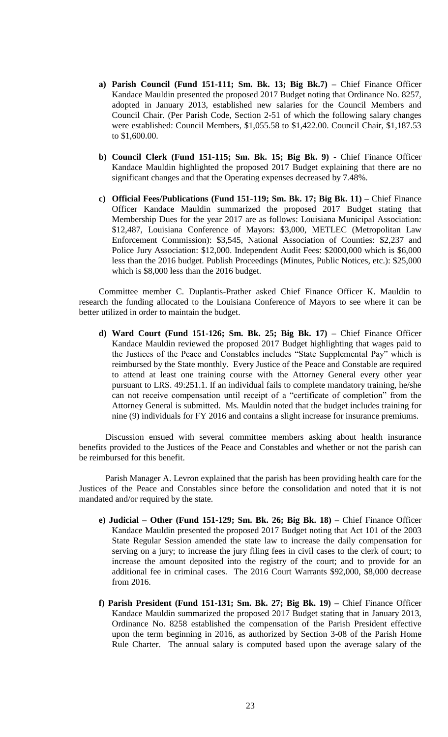- **a) Parish Council (Fund 151-111; Sm. Bk. 13; Big Bk.7) –** Chief Finance Officer Kandace Mauldin presented the proposed 2017 Budget noting that Ordinance No. 8257, adopted in January 2013, established new salaries for the Council Members and Council Chair. (Per Parish Code, Section 2-51 of which the following salary changes were established: Council Members, \$1,055.58 to \$1,422.00. Council Chair, \$1,187.53 to \$1,600.00.
- **b) Council Clerk (Fund 151-115; Sm. Bk. 15; Big Bk. 9) -** Chief Finance Officer Kandace Mauldin highlighted the proposed 2017 Budget explaining that there are no significant changes and that the Operating expenses decreased by 7.48%.
- **c) Official Fees/Publications (Fund 151-119; Sm. Bk. 17; Big Bk. 11) –** Chief Finance Officer Kandace Mauldin summarized the proposed 2017 Budget stating that Membership Dues for the year 2017 are as follows: Louisiana Municipal Association: \$12,487, Louisiana Conference of Mayors: \$3,000, METLEC (Metropolitan Law Enforcement Commission): \$3,545, National Association of Counties: \$2,237 and Police Jury Association: \$12,000. Independent Audit Fees: \$2000,000 which is \$6,000 less than the 2016 budget. Publish Proceedings (Minutes, Public Notices, etc.): \$25,000 which is \$8,000 less than the 2016 budget.

Committee member C. Duplantis-Prather asked Chief Finance Officer K. Mauldin to research the funding allocated to the Louisiana Conference of Mayors to see where it can be better utilized in order to maintain the budget.

**d) Ward Court (Fund 151-126; Sm. Bk. 25; Big Bk. 17) –** Chief Finance Officer Kandace Mauldin reviewed the proposed 2017 Budget highlighting that wages paid to the Justices of the Peace and Constables includes "State Supplemental Pay" which is reimbursed by the State monthly. Every Justice of the Peace and Constable are required to attend at least one training course with the Attorney General every other year pursuant to LRS. 49:251.1. If an individual fails to complete mandatory training, he/she can not receive compensation until receipt of a "certificate of completion" from the Attorney General is submitted. Ms. Mauldin noted that the budget includes training for nine (9) individuals for FY 2016 and contains a slight increase for insurance premiums.

Discussion ensued with several committee members asking about health insurance benefits provided to the Justices of the Peace and Constables and whether or not the parish can be reimbursed for this benefit.

Parish Manager A. Levron explained that the parish has been providing health care for the Justices of the Peace and Constables since before the consolidation and noted that it is not mandated and/or required by the state.

- **e) Judicial – Other (Fund 151-129; Sm. Bk. 26; Big Bk. 18) –** Chief Finance Officer Kandace Mauldin presented the proposed 2017 Budget noting that Act 101 of the 2003 State Regular Session amended the state law to increase the daily compensation for serving on a jury; to increase the jury filing fees in civil cases to the clerk of court; to increase the amount deposited into the registry of the court; and to provide for an additional fee in criminal cases. The 2016 Court Warrants \$92,000, \$8,000 decrease from 2016.
- **f) Parish President (Fund 151-131; Sm. Bk. 27; Big Bk. 19) –** Chief Finance Officer Kandace Mauldin summarized the proposed 2017 Budget stating that in January 2013, Ordinance No. 8258 established the compensation of the Parish President effective upon the term beginning in 2016, as authorized by Section 3-08 of the Parish Home Rule Charter. The annual salary is computed based upon the average salary of the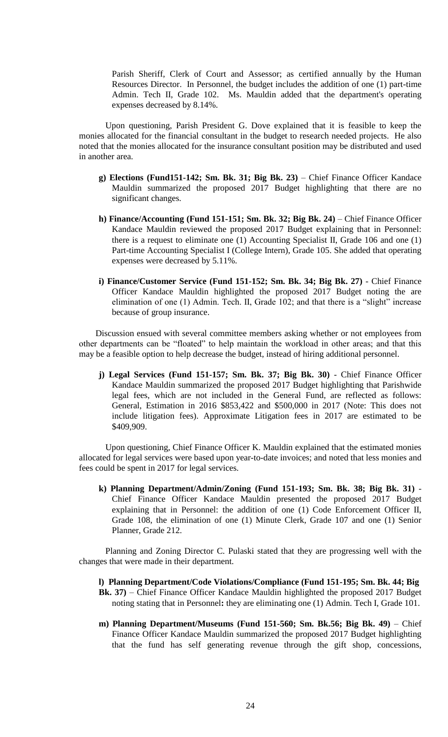Parish Sheriff, Clerk of Court and Assessor; as certified annually by the Human Resources Director. In Personnel, the budget includes the addition of one (1) part-time Admin. Tech II, Grade 102. Ms. Mauldin added that the department's operating expenses decreased by 8.14%.

Upon questioning, Parish President G. Dove explained that it is feasible to keep the monies allocated for the financial consultant in the budget to research needed projects. He also noted that the monies allocated for the insurance consultant position may be distributed and used in another area.

- **g) Elections (Fund151-142; Sm. Bk. 31; Big Bk. 23)** Chief Finance Officer Kandace Mauldin summarized the proposed 2017 Budget highlighting that there are no significant changes.
- **h) Finance/Accounting (Fund 151-151; Sm. Bk. 32; Big Bk. 24)** Chief Finance Officer Kandace Mauldin reviewed the proposed 2017 Budget explaining that in Personnel: there is a request to eliminate one (1) Accounting Specialist II, Grade 106 and one (1) Part-time Accounting Specialist I (College Intern), Grade 105. She added that operating expenses were decreased by 5.11%.
- **i) Finance/Customer Service (Fund 151-152; Sm. Bk. 34; Big Bk. 27)**  Chief Finance Officer Kandace Mauldin highlighted the proposed 2017 Budget noting the are elimination of one (1) Admin. Tech. II, Grade 102; and that there is a "slight" increase because of group insurance.

Discussion ensued with several committee members asking whether or not employees from other departments can be "floated" to help maintain the workload in other areas; and that this may be a feasible option to help decrease the budget, instead of hiring additional personnel.

**j) Legal Services (Fund 151-157; Sm. Bk. 37; Big Bk. 30)** - Chief Finance Officer Kandace Mauldin summarized the proposed 2017 Budget highlighting that Parishwide legal fees, which are not included in the General Fund, are reflected as follows: General, Estimation in 2016 \$853,422 and \$500,000 in 2017 (Note: This does not include litigation fees). Approximate Litigation fees in 2017 are estimated to be \$409,909.

Upon questioning, Chief Finance Officer K. Mauldin explained that the estimated monies allocated for legal services were based upon year-to-date invoices; and noted that less monies and fees could be spent in 2017 for legal services.

**k) Planning Department/Admin/Zoning (Fund 151-193; Sm. Bk. 38; Big Bk. 31)** - Chief Finance Officer Kandace Mauldin presented the proposed 2017 Budget explaining that in Personnel: the addition of one (1) Code Enforcement Officer II, Grade 108, the elimination of one (1) Minute Clerk, Grade 107 and one (1) Senior Planner, Grade 212.

Planning and Zoning Director C. Pulaski stated that they are progressing well with the changes that were made in their department.

- **l) Planning Department/Code Violations/Compliance (Fund 151-195; Sm. Bk. 44; Big Bk. 37)** – Chief Finance Officer Kandace Mauldin highlighted the proposed 2017 Budget noting stating that in Personnel**:** they are eliminating one (1) Admin. Tech I, Grade 101.
- **m) Planning Department/Museums (Fund 151-560; Sm. Bk.56; Big Bk. 49)** Chief Finance Officer Kandace Mauldin summarized the proposed 2017 Budget highlighting that the fund has self generating revenue through the gift shop, concessions,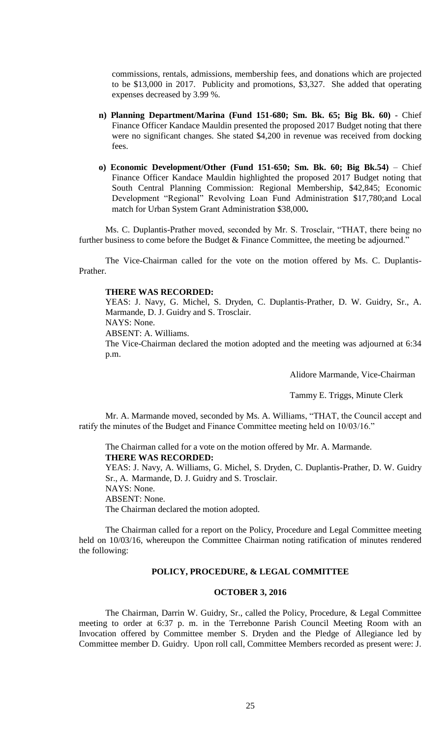commissions, rentals, admissions, membership fees, and donations which are projected to be \$13,000 in 2017. Publicity and promotions, \$3,327. She added that operating expenses decreased by 3.99 %.

- **n) Planning Department/Marina (Fund 151-680; Sm. Bk. 65; Big Bk. 60)**  Chief Finance Officer Kandace Mauldin presented the proposed 2017 Budget noting that there were no significant changes. She stated \$4,200 in revenue was received from docking fees.
- **o) Economic Development/Other (Fund 151-650; Sm. Bk. 60; Big Bk.54)** Chief Finance Officer Kandace Mauldin highlighted the proposed 2017 Budget noting that South Central Planning Commission: Regional Membership, \$42,845; Economic Development "Regional" Revolving Loan Fund Administration \$17,780;and Local match for Urban System Grant Administration \$38,000**.**

Ms. C. Duplantis-Prather moved, seconded by Mr. S. Trosclair, "THAT, there being no further business to come before the Budget & Finance Committee, the meeting be adjourned."

The Vice-Chairman called for the vote on the motion offered by Ms. C. Duplantis-Prather.

### **THERE WAS RECORDED:**

YEAS: J. Navy, G. Michel, S. Dryden, C. Duplantis-Prather, D. W. Guidry, Sr., A. Marmande, D. J. Guidry and S. Trosclair.

NAYS: None.

ABSENT: A. Williams.

The Vice-Chairman declared the motion adopted and the meeting was adjourned at 6:34 p.m.

Alidore Marmande, Vice-Chairman

Tammy E. Triggs, Minute Clerk

Mr. A. Marmande moved, seconded by Ms. A. Williams, "THAT, the Council accept and ratify the minutes of the Budget and Finance Committee meeting held on 10/03/16."

The Chairman called for a vote on the motion offered by Mr. A. Marmande. **THERE WAS RECORDED:**

YEAS: J. Navy, A. Williams, G. Michel, S. Dryden, C. Duplantis-Prather, D. W. Guidry Sr., A. Marmande, D. J. Guidry and S. Trosclair.

NAYS: None. ABSENT: None.

The Chairman declared the motion adopted.

The Chairman called for a report on the Policy, Procedure and Legal Committee meeting held on 10/03/16, whereupon the Committee Chairman noting ratification of minutes rendered the following:

## **POLICY, PROCEDURE, & LEGAL COMMITTEE**

## **OCTOBER 3, 2016**

The Chairman, Darrin W. Guidry, Sr., called the Policy, Procedure, & Legal Committee meeting to order at 6:37 p. m. in the Terrebonne Parish Council Meeting Room with an Invocation offered by Committee member S. Dryden and the Pledge of Allegiance led by Committee member D. Guidry. Upon roll call, Committee Members recorded as present were: J.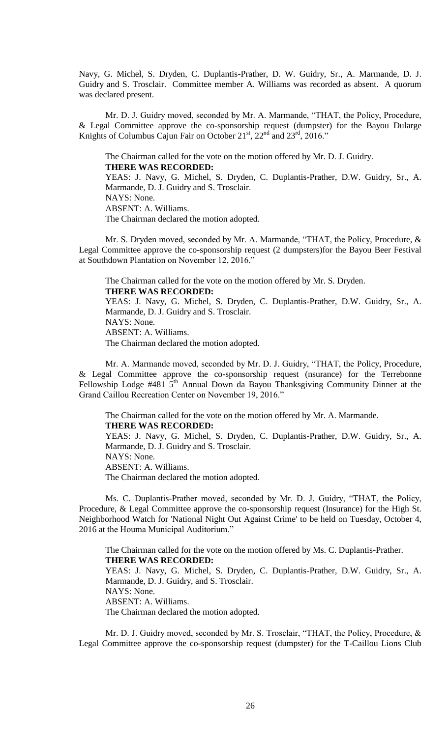Navy, G. Michel, S. Dryden, C. Duplantis-Prather, D. W. Guidry, Sr., A. Marmande, D. J. Guidry and S. Trosclair. Committee member A. Williams was recorded as absent. A quorum was declared present.

Mr. D. J. Guidry moved, seconded by Mr. A. Marmande, "THAT, the Policy, Procedure, & Legal Committee approve the co-sponsorship request (dumpster) for the Bayou Dularge Knights of Columbus Cajun Fair on October  $21<sup>st</sup>$ ,  $22<sup>nd</sup>$  and  $23<sup>rd</sup>$ ,  $2016$ ."

The Chairman called for the vote on the motion offered by Mr. D. J. Guidry. **THERE WAS RECORDED:**

YEAS: J. Navy, G. Michel, S. Dryden, C. Duplantis-Prather, D.W. Guidry, Sr., A. Marmande, D. J. Guidry and S. Trosclair. NAYS: None. ABSENT: A. Williams. The Chairman declared the motion adopted.

 Mr. S. Dryden moved, seconded by Mr. A. Marmande, "THAT, the Policy, Procedure, & Legal Committee approve the co-sponsorship request (2 dumpsters)for the Bayou Beer Festival at Southdown Plantation on November 12, 2016."

The Chairman called for the vote on the motion offered by Mr. S. Dryden. **THERE WAS RECORDED:**

YEAS: J. Navy, G. Michel, S. Dryden, C. Duplantis-Prather, D.W. Guidry, Sr., A. Marmande, D. J. Guidry and S. Trosclair. NAYS: None. ABSENT: A. Williams. The Chairman declared the motion adopted.

Mr. A. Marmande moved, seconded by Mr. D. J. Guidry, "THAT, the Policy, Procedure, & Legal Committee approve the co-sponsorship request (nsurance) for the Terrebonne Fellowship Lodge  $#481\,5^{th}$  Annual Down da Bayou Thanksgiving Community Dinner at the Grand Caillou Recreation Center on November 19, 2016."

The Chairman called for the vote on the motion offered by Mr. A. Marmande. **THERE WAS RECORDED:** YEAS: J. Navy, G. Michel, S. Dryden, C. Duplantis-Prather, D.W. Guidry, Sr., A. Marmande, D. J. Guidry and S. Trosclair. NAYS: None. ABSENT: A. Williams. The Chairman declared the motion adopted.

Ms. C. Duplantis-Prather moved, seconded by Mr. D. J. Guidry, "THAT, the Policy, Procedure, & Legal Committee approve the co-sponsorship request (Insurance) for the High St. Neighborhood Watch for 'National Night Out Against Crime' to be held on Tuesday, October 4, 2016 at the Houma Municipal Auditorium."

The Chairman called for the vote on the motion offered by Ms. C. Duplantis-Prather. **THERE WAS RECORDED:** YEAS: J. Navy, G. Michel, S. Dryden, C. Duplantis-Prather, D.W. Guidry, Sr., A. Marmande, D. J. Guidry, and S. Trosclair. NAYS: None. ABSENT: A. Williams.

The Chairman declared the motion adopted.

Mr. D. J. Guidry moved, seconded by Mr. S. Trosclair, "THAT, the Policy, Procedure, & Legal Committee approve the co-sponsorship request (dumpster) for the T-Caillou Lions Club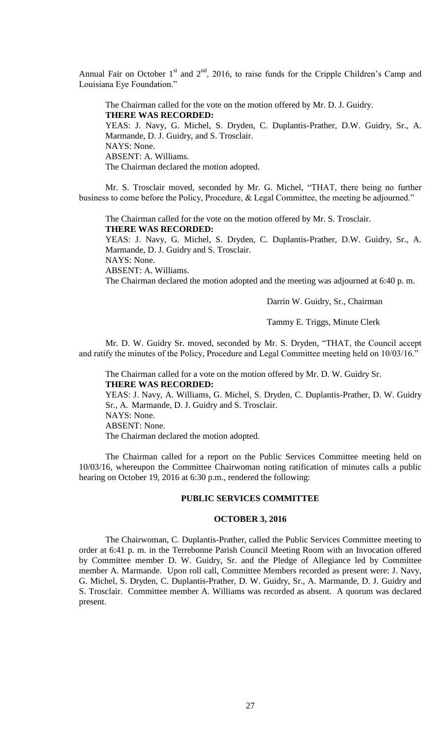Annual Fair on October  $1<sup>st</sup>$  and  $2<sup>nd</sup>$ , 2016, to raise funds for the Cripple Children's Camp and Louisiana Eye Foundation."

The Chairman called for the vote on the motion offered by Mr. D. J. Guidry. **THERE WAS RECORDED:** YEAS: J. Navy, G. Michel, S. Dryden, C. Duplantis-Prather, D.W. Guidry, Sr., A. Marmande, D. J. Guidry, and S. Trosclair. NAYS: None. ABSENT: A. Williams. The Chairman declared the motion adopted.

Mr. S. Trosclair moved, seconded by Mr. G. Michel, "THAT, there being no further business to come before the Policy, Procedure, & Legal Committee, the meeting be adjourned."

The Chairman called for the vote on the motion offered by Mr. S. Trosclair. **THERE WAS RECORDED:**

YEAS: J. Navy, G. Michel, S. Dryden, C. Duplantis-Prather, D.W. Guidry, Sr., A. Marmande, D. J. Guidry and S. Trosclair.

NAYS: None.

ABSENT: A. Williams.

The Chairman declared the motion adopted and the meeting was adjourned at 6:40 p. m.

Darrin W. Guidry, Sr., Chairman

Tammy E. Triggs, Minute Clerk

Mr. D. W. Guidry Sr. moved, seconded by Mr. S. Dryden, "THAT, the Council accept and ratify the minutes of the Policy, Procedure and Legal Committee meeting held on 10/03/16."

The Chairman called for a vote on the motion offered by Mr. D. W. Guidry Sr. **THERE WAS RECORDED:**

YEAS: J. Navy, A. Williams, G. Michel, S. Dryden, C. Duplantis-Prather, D. W. Guidry Sr., A. Marmande, D. J. Guidry and S. Trosclair. NAYS: None. ABSENT: None. The Chairman declared the motion adopted.

The Chairman called for a report on the Public Services Committee meeting held on 10/03/16, whereupon the Committee Chairwoman noting ratification of minutes calls a public hearing on October 19, 2016 at 6:30 p.m., rendered the following:

### **PUBLIC SERVICES COMMITTEE**

### **OCTOBER 3, 2016**

The Chairwoman, C. Duplantis-Prather, called the Public Services Committee meeting to order at 6:41 p. m. in the Terrebonne Parish Council Meeting Room with an Invocation offered by Committee member D. W. Guidry, Sr. and the Pledge of Allegiance led by Committee member A. Marmande. Upon roll call, Committee Members recorded as present were: J. Navy, G. Michel, S. Dryden, C. Duplantis-Prather, D. W. Guidry, Sr., A. Marmande, D. J. Guidry and S. Trosclair. Committee member A. Williams was recorded as absent. A quorum was declared present.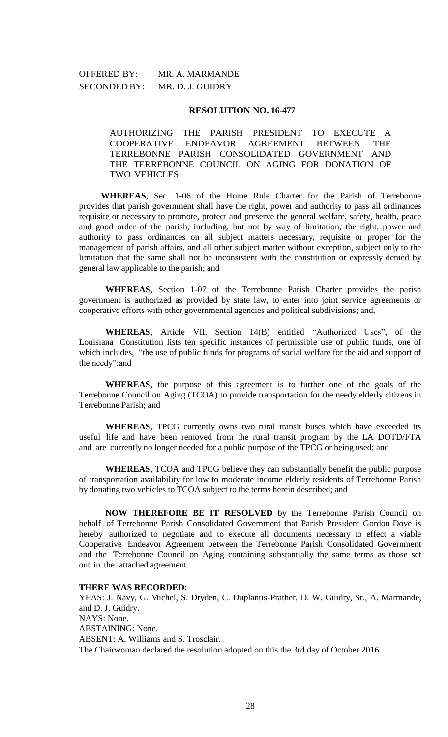OFFERED BY: MR. A. MARMANDE SECONDED BY: MR. D. J. GUIDRY

### **RESOLUTION NO. 16-477**

AUTHORIZING THE PARISH PRESIDENT TO EXECUTE A COOPERATIVE ENDEAVOR AGREEMENT BETWEEN THE TERREBONNE PARISH CONSOLIDATED GOVERNMENT AND THE TERREBONNE COUNCIL ON AGING FOR DONATION OF TWO VEHICLES

**WHEREAS**, Sec. 1-06 of the Home Rule Charter for the Parish of Terrebonne provides that parish government shall have the right, power and authority to pass all ordinances requisite or necessary to promote, protect and preserve the general welfare, safety, health, peace and good order of the parish, including, but not by way of limitation, the right, power and authority to pass ordinances on all subject matters necessary, requisite or proper for the management of parish affairs, and all other subject matter without exception, subject only to the limitation that the same shall not be inconsistent with the constitution or expressly denied by general law applicable to the parish; and

**WHEREAS**, Section 1-07 of the Terrebonne Parish Charter provides the parish government is authorized as provided by state law, to enter into joint service agreements or cooperative efforts with other governmental agencies and political subdivisions; and,

**WHEREAS**, Article VII, Section 14(B) entitled "Authorized Uses", of the Louisiana Constitution lists ten specific instances of permissible use of public funds, one of which includes, "the use of public funds for programs of social welfare for the aid and support of the needy";and

**WHEREAS**, the purpose of this agreement is to further one of the goals of the Terrebonne Council on Aging (TCOA) to provide transportation for the needy elderly citizens in Terrebonne Parish; and

**WHEREAS**, TPCG currently owns two rural transit buses which have exceeded its useful life and have been removed from the rural transit program by the LA DOTD/FTA and are currently no longer needed for a public purpose of the TPCG or being used; and

**WHEREAS**, TCOA and TPCG believe they can substantially benefit the public purpose of transportation availability for low to moderate income elderly residents of Terrebonne Parish by donating two vehicles to TCOA subject to the terms herein described; and

**NOW THEREFORE BE IT RESOLVED** by the Terrebonne Parish Council on behalf of Terrebonne Parish Consolidated Government that Parish President Gordon Dove is hereby authorized to negotiate and to execute all documents necessary to effect a viable Cooperative Endeavor Agreement between the Terrebonne Parish Consolidated Government and the Terrebonne Council on Aging containing substantially the same terms as those set out in the attached agreement.

### **THERE WAS RECORDED:**

YEAS: J. Navy, G. Michel, S. Dryden, C. Duplantis-Prather, D. W. Guidry, Sr., A. Marmande, and D. J. Guidry. NAYS: None. ABSTAINING: None. ABSENT: A. Williams and S. Trosclair. The Chairwoman declared the resolution adopted on this the 3rd day of October 2016.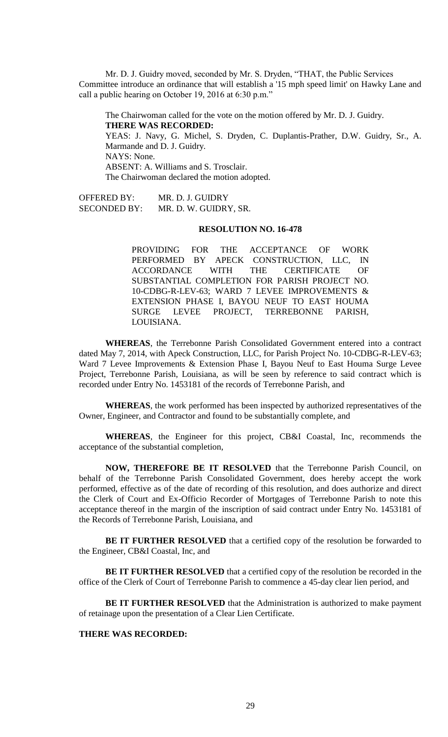Mr. D. J. Guidry moved, seconded by Mr. S. Dryden, "THAT, the Public Services Committee introduce an ordinance that will establish a '15 mph speed limit' on Hawky Lane and call a public hearing on October 19, 2016 at 6:30 p.m."

The Chairwoman called for the vote on the motion offered by Mr. D. J. Guidry. **THERE WAS RECORDED:** YEAS: J. Navy, G. Michel, S. Dryden, C. Duplantis-Prather, D.W. Guidry, Sr., A. Marmande and D. J. Guidry. NAYS: None. ABSENT: A. Williams and S. Trosclair. The Chairwoman declared the motion adopted.

OFFERED BY: MR. D. J. GUIDRY SECONDED BY: MR. D. W. GUIDRY, SR.

# **RESOLUTION NO. 16-478**

PROVIDING FOR THE ACCEPTANCE OF WORK PERFORMED BY APECK CONSTRUCTION, LLC, IN ACCORDANCE WITH THE CERTIFICATE OF SUBSTANTIAL COMPLETION FOR PARISH PROJECT NO. 10-CDBG-R-LEV-63; WARD 7 LEVEE IMPROVEMENTS & EXTENSION PHASE I, BAYOU NEUF TO EAST HOUMA SURGE LEVEE PROJECT, TERREBONNE PARISH, LOUISIANA.

**WHEREAS**, the Terrebonne Parish Consolidated Government entered into a contract dated May 7, 2014, with Apeck Construction, LLC, for Parish Project No. 10-CDBG-R-LEV-63; Ward 7 Levee Improvements & Extension Phase I, Bayou Neuf to East Houma Surge Levee Project, Terrebonne Parish, Louisiana, as will be seen by reference to said contract which is recorded under Entry No. 1453181 of the records of Terrebonne Parish, and

**WHEREAS**, the work performed has been inspected by authorized representatives of the Owner, Engineer, and Contractor and found to be substantially complete, and

**WHEREAS**, the Engineer for this project, CB&I Coastal, Inc, recommends the acceptance of the substantial completion,

**NOW, THEREFORE BE IT RESOLVED** that the Terrebonne Parish Council, on behalf of the Terrebonne Parish Consolidated Government, does hereby accept the work performed, effective as of the date of recording of this resolution, and does authorize and direct the Clerk of Court and Ex-Officio Recorder of Mortgages of Terrebonne Parish to note this acceptance thereof in the margin of the inscription of said contract under Entry No. 1453181 of the Records of Terrebonne Parish, Louisiana, and

**BE IT FURTHER RESOLVED** that a certified copy of the resolution be forwarded to the Engineer, CB&I Coastal, Inc, and

**BE IT FURTHER RESOLVED** that a certified copy of the resolution be recorded in the office of the Clerk of Court of Terrebonne Parish to commence a 45-day clear lien period, and

**BE IT FURTHER RESOLVED** that the Administration is authorized to make payment of retainage upon the presentation of a Clear Lien Certificate.

### **THERE WAS RECORDED:**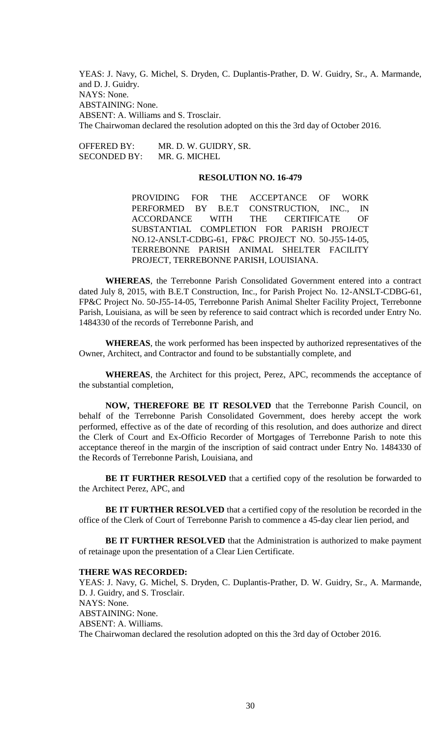YEAS: J. Navy, G. Michel, S. Dryden, C. Duplantis-Prather, D. W. Guidry, Sr., A. Marmande, and D. J. Guidry. NAYS: None. ABSTAINING: None. ABSENT: A. Williams and S. Trosclair. The Chairwoman declared the resolution adopted on this the 3rd day of October 2016.

OFFERED BY: MR. D. W. GUIDRY, SR. SECONDED BY: MR. G. MICHEL

### **RESOLUTION NO. 16-479**

PROVIDING FOR THE ACCEPTANCE OF WORK PERFORMED BY B.E.T CONSTRUCTION, INC., IN ACCORDANCE WITH THE CERTIFICATE OF SUBSTANTIAL COMPLETION FOR PARISH PROJECT NO.12-ANSLT-CDBG-61, FP&C PROJECT NO. 50-J55-14-05, TERREBONNE PARISH ANIMAL SHELTER FACILITY PROJECT, TERREBONNE PARISH, LOUISIANA.

**WHEREAS**, the Terrebonne Parish Consolidated Government entered into a contract dated July 8, 2015, with B.E.T Construction, Inc., for Parish Project No. 12-ANSLT-CDBG-61, FP&C Project No. 50-J55-14-05, Terrebonne Parish Animal Shelter Facility Project, Terrebonne Parish, Louisiana, as will be seen by reference to said contract which is recorded under Entry No. 1484330 of the records of Terrebonne Parish, and

**WHEREAS**, the work performed has been inspected by authorized representatives of the Owner, Architect, and Contractor and found to be substantially complete, and

**WHEREAS**, the Architect for this project, Perez, APC, recommends the acceptance of the substantial completion,

**NOW, THEREFORE BE IT RESOLVED** that the Terrebonne Parish Council, on behalf of the Terrebonne Parish Consolidated Government, does hereby accept the work performed, effective as of the date of recording of this resolution, and does authorize and direct the Clerk of Court and Ex-Officio Recorder of Mortgages of Terrebonne Parish to note this acceptance thereof in the margin of the inscription of said contract under Entry No. 1484330 of the Records of Terrebonne Parish, Louisiana, and

**BE IT FURTHER RESOLVED** that a certified copy of the resolution be forwarded to the Architect Perez, APC, and

**BE IT FURTHER RESOLVED** that a certified copy of the resolution be recorded in the office of the Clerk of Court of Terrebonne Parish to commence a 45-day clear lien period, and

**BE IT FURTHER RESOLVED** that the Administration is authorized to make payment of retainage upon the presentation of a Clear Lien Certificate.

#### **THERE WAS RECORDED:**

YEAS: J. Navy, G. Michel, S. Dryden, C. Duplantis-Prather, D. W. Guidry, Sr., A. Marmande, D. J. Guidry, and S. Trosclair. NAYS: None. ABSTAINING: None. ABSENT: A. Williams. The Chairwoman declared the resolution adopted on this the 3rd day of October 2016.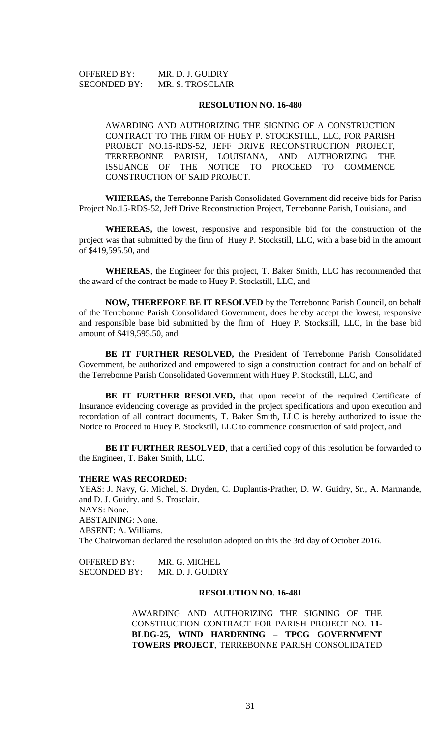| <b>OFFERED BY:</b>  | MR. D. J. GUIDRY |
|---------------------|------------------|
| <b>SECONDED BY:</b> | MR. S. TROSCLAIR |

#### **RESOLUTION NO. 16-480**

AWARDING AND AUTHORIZING THE SIGNING OF A CONSTRUCTION CONTRACT TO THE FIRM OF HUEY P. STOCKSTILL, LLC, FOR PARISH PROJECT NO.15-RDS-52, JEFF DRIVE RECONSTRUCTION PROJECT, TERREBONNE PARISH, LOUISIANA, AND AUTHORIZING THE ISSUANCE OF THE NOTICE TO PROCEED TO COMMENCE CONSTRUCTION OF SAID PROJECT.

**WHEREAS,** the Terrebonne Parish Consolidated Government did receive bids for Parish Project No.15-RDS-52, Jeff Drive Reconstruction Project, Terrebonne Parish, Louisiana, and

**WHEREAS,** the lowest, responsive and responsible bid for the construction of the project was that submitted by the firm of Huey P. Stockstill, LLC, with a base bid in the amount of \$419,595.50, and

**WHEREAS**, the Engineer for this project, T. Baker Smith, LLC has recommended that the award of the contract be made to Huey P. Stockstill, LLC, and

**NOW, THEREFORE BE IT RESOLVED** by the Terrebonne Parish Council, on behalf of the Terrebonne Parish Consolidated Government, does hereby accept the lowest, responsive and responsible base bid submitted by the firm of Huey P. Stockstill, LLC, in the base bid amount of \$419,595.50, and

**BE IT FURTHER RESOLVED,** the President of Terrebonne Parish Consolidated Government, be authorized and empowered to sign a construction contract for and on behalf of the Terrebonne Parish Consolidated Government with Huey P. Stockstill, LLC, and

BE IT FURTHER RESOLVED, that upon receipt of the required Certificate of Insurance evidencing coverage as provided in the project specifications and upon execution and recordation of all contract documents, T. Baker Smith, LLC is hereby authorized to issue the Notice to Proceed to Huey P. Stockstill, LLC to commence construction of said project, and

**BE IT FURTHER RESOLVED**, that a certified copy of this resolution be forwarded to the Engineer, T. Baker Smith, LLC.

### **THERE WAS RECORDED:**

YEAS: J. Navy, G. Michel, S. Dryden, C. Duplantis-Prather, D. W. Guidry, Sr., A. Marmande, and D. J. Guidry. and S. Trosclair. NAYS: None. ABSTAINING: None. ABSENT: A. Williams. The Chairwoman declared the resolution adopted on this the 3rd day of October 2016.

OFFERED BY: MR. G. MICHEL SECONDED BY: MR. D. J. GUIDRY

## **RESOLUTION NO. 16-481**

AWARDING AND AUTHORIZING THE SIGNING OF THE CONSTRUCTION CONTRACT FOR PARISH PROJECT NO. **11- BLDG-25, WIND HARDENING – TPCG GOVERNMENT TOWERS PROJECT**, TERREBONNE PARISH CONSOLIDATED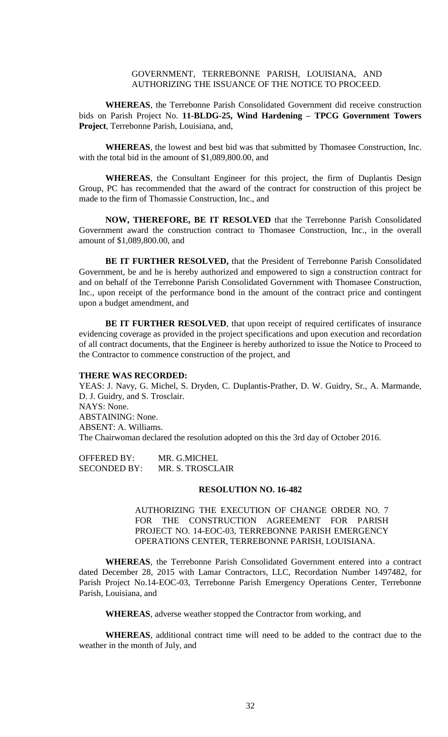## GOVERNMENT, TERREBONNE PARISH, LOUISIANA, AND AUTHORIZING THE ISSUANCE OF THE NOTICE TO PROCEED.

**WHEREAS**, the Terrebonne Parish Consolidated Government did receive construction bids on Parish Project No. **11-BLDG-25, Wind Hardening – TPCG Government Towers Project**, Terrebonne Parish, Louisiana, and,

**WHEREAS**, the lowest and best bid was that submitted by Thomasee Construction, Inc. with the total bid in the amount of \$1,089,800.00, and

**WHEREAS**, the Consultant Engineer for this project, the firm of Duplantis Design Group, PC has recommended that the award of the contract for construction of this project be made to the firm of Thomassie Construction, Inc., and

**NOW, THEREFORE, BE IT RESOLVED** that the Terrebonne Parish Consolidated Government award the construction contract to Thomasee Construction, Inc., in the overall amount of \$1,089,800.00, and

**BE IT FURTHER RESOLVED,** that the President of Terrebonne Parish Consolidated Government, be and he is hereby authorized and empowered to sign a construction contract for and on behalf of the Terrebonne Parish Consolidated Government with Thomasee Construction, Inc., upon receipt of the performance bond in the amount of the contract price and contingent upon a budget amendment, and

**BE IT FURTHER RESOLVED**, that upon receipt of required certificates of insurance evidencing coverage as provided in the project specifications and upon execution and recordation of all contract documents, that the Engineer is hereby authorized to issue the Notice to Proceed to the Contractor to commence construction of the project, and

#### **THERE WAS RECORDED:**

YEAS: J. Navy, G. Michel, S. Dryden, C. Duplantis-Prather, D. W. Guidry, Sr., A. Marmande, D. J. Guidry, and S. Trosclair. NAYS: None. ABSTAINING: None. ABSENT: A. Williams. The Chairwoman declared the resolution adopted on this the 3rd day of October 2016.

OFFERED BY: MR. G.MICHEL SECONDED BY: MR. S. TROSCLAIR

#### **RESOLUTION NO. 16-482**

AUTHORIZING THE EXECUTION OF CHANGE ORDER NO. 7 FOR THE CONSTRUCTION AGREEMENT FOR PARISH PROJECT NO. 14-EOC-03, TERREBONNE PARISH EMERGENCY OPERATIONS CENTER, TERREBONNE PARISH, LOUISIANA.

**WHEREAS**, the Terrebonne Parish Consolidated Government entered into a contract dated December 28, 2015 with Lamar Contractors, LLC, Recordation Number 1497482, for Parish Project No.14-EOC-03, Terrebonne Parish Emergency Operations Center, Terrebonne Parish, Louisiana, and

**WHEREAS**, adverse weather stopped the Contractor from working, and

**WHEREAS**, additional contract time will need to be added to the contract due to the weather in the month of July, and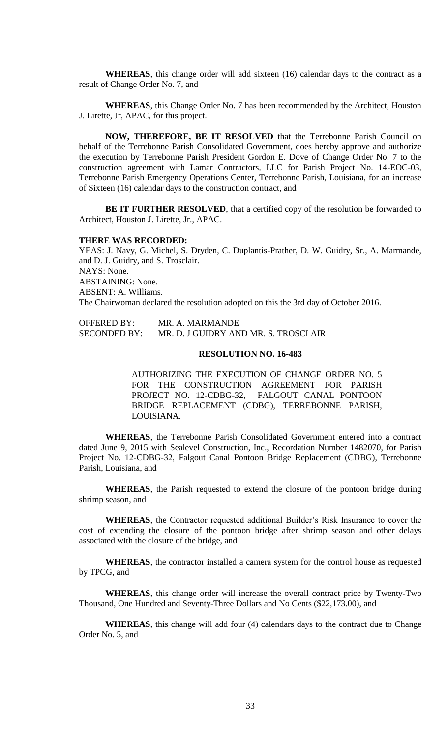**WHEREAS**, this change order will add sixteen (16) calendar days to the contract as a result of Change Order No. 7, and

**WHEREAS**, this Change Order No. 7 has been recommended by the Architect, Houston J. Lirette, Jr, APAC, for this project.

**NOW, THEREFORE, BE IT RESOLVED** that the Terrebonne Parish Council on behalf of the Terrebonne Parish Consolidated Government, does hereby approve and authorize the execution by Terrebonne Parish President Gordon E. Dove of Change Order No. 7 to the construction agreement with Lamar Contractors, LLC for Parish Project No. 14-EOC-03, Terrebonne Parish Emergency Operations Center, Terrebonne Parish, Louisiana, for an increase of Sixteen (16) calendar days to the construction contract, and

BE IT FURTHER RESOLVED, that a certified copy of the resolution be forwarded to Architect, Houston J. Lirette, Jr., APAC.

#### **THERE WAS RECORDED:**

YEAS: J. Navy, G. Michel, S. Dryden, C. Duplantis-Prather, D. W. Guidry, Sr., A. Marmande, and D. J. Guidry, and S. Trosclair. NAYS: None. ABSTAINING: None. ABSENT: A. Williams. The Chairwoman declared the resolution adopted on this the 3rd day of October 2016.

OFFERED BY: MR. A. MARMANDE SECONDED BY: MR. D. J GUIDRY AND MR. S. TROSCLAIR

## **RESOLUTION NO. 16-483**

AUTHORIZING THE EXECUTION OF CHANGE ORDER NO. 5 FOR THE CONSTRUCTION AGREEMENT FOR PARISH PROJECT NO. 12-CDBG-32, FALGOUT CANAL PONTOON BRIDGE REPLACEMENT (CDBG), TERREBONNE PARISH, LOUISIANA.

**WHEREAS**, the Terrebonne Parish Consolidated Government entered into a contract dated June 9, 2015 with Sealevel Construction, Inc., Recordation Number 1482070, for Parish Project No. 12-CDBG-32, Falgout Canal Pontoon Bridge Replacement (CDBG), Terrebonne Parish, Louisiana, and

**WHEREAS**, the Parish requested to extend the closure of the pontoon bridge during shrimp season, and

**WHEREAS**, the Contractor requested additional Builder's Risk Insurance to cover the cost of extending the closure of the pontoon bridge after shrimp season and other delays associated with the closure of the bridge, and

**WHEREAS**, the contractor installed a camera system for the control house as requested by TPCG, and

**WHEREAS**, this change order will increase the overall contract price by Twenty-Two Thousand, One Hundred and Seventy-Three Dollars and No Cents (\$22,173.00), and

**WHEREAS**, this change will add four (4) calendars days to the contract due to Change Order No. 5, and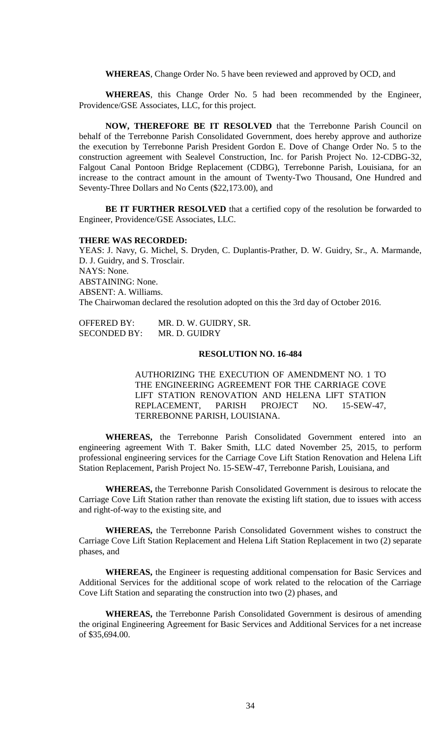**WHEREAS**, Change Order No. 5 have been reviewed and approved by OCD, and

**WHEREAS**, this Change Order No. 5 had been recommended by the Engineer, Providence/GSE Associates, LLC, for this project.

**NOW, THEREFORE BE IT RESOLVED** that the Terrebonne Parish Council on behalf of the Terrebonne Parish Consolidated Government, does hereby approve and authorize the execution by Terrebonne Parish President Gordon E. Dove of Change Order No. 5 to the construction agreement with Sealevel Construction, Inc. for Parish Project No. 12-CDBG-32, Falgout Canal Pontoon Bridge Replacement (CDBG), Terrebonne Parish, Louisiana, for an increase to the contract amount in the amount of Twenty-Two Thousand, One Hundred and Seventy-Three Dollars and No Cents (\$22,173.00), and

**BE IT FURTHER RESOLVED** that a certified copy of the resolution be forwarded to Engineer, Providence/GSE Associates, LLC.

#### **THERE WAS RECORDED:**

YEAS: J. Navy, G. Michel, S. Dryden, C. Duplantis-Prather, D. W. Guidry, Sr., A. Marmande, D. J. Guidry, and S. Trosclair. NAYS: None. ABSTAINING: None. ABSENT: A. Williams. The Chairwoman declared the resolution adopted on this the 3rd day of October 2016.

OFFERED BY: MR. D. W. GUIDRY, SR. SECONDED BY: MR. D. GUIDRY

## **RESOLUTION NO. 16-484**

AUTHORIZING THE EXECUTION OF AMENDMENT NO. 1 TO THE ENGINEERING AGREEMENT FOR THE CARRIAGE COVE LIFT STATION RENOVATION AND HELENA LIFT STATION REPLACEMENT, PARISH PROJECT NO. 15-SEW-47, TERREBONNE PARISH, LOUISIANA.

**WHEREAS,** the Terrebonne Parish Consolidated Government entered into an engineering agreement With T. Baker Smith, LLC dated November 25, 2015, to perform professional engineering services for the Carriage Cove Lift Station Renovation and Helena Lift Station Replacement, Parish Project No. 15-SEW-47, Terrebonne Parish, Louisiana, and

**WHEREAS,** the Terrebonne Parish Consolidated Government is desirous to relocate the Carriage Cove Lift Station rather than renovate the existing lift station, due to issues with access and right-of-way to the existing site, and

**WHEREAS,** the Terrebonne Parish Consolidated Government wishes to construct the Carriage Cove Lift Station Replacement and Helena Lift Station Replacement in two (2) separate phases, and

**WHEREAS,** the Engineer is requesting additional compensation for Basic Services and Additional Services for the additional scope of work related to the relocation of the Carriage Cove Lift Station and separating the construction into two (2) phases, and

**WHEREAS,** the Terrebonne Parish Consolidated Government is desirous of amending the original Engineering Agreement for Basic Services and Additional Services for a net increase of \$35,694.00.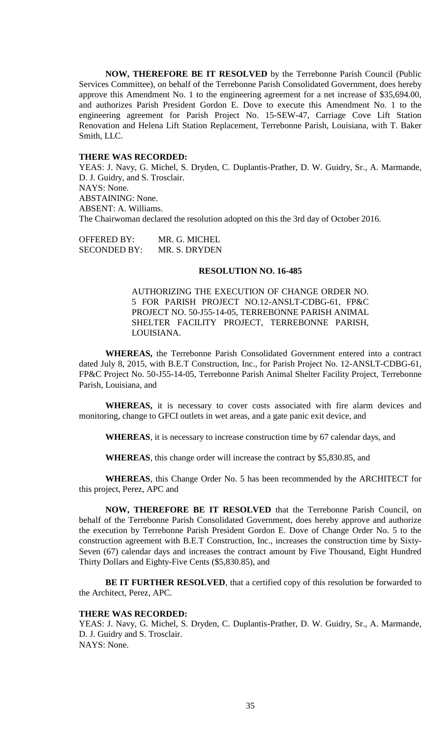**NOW, THEREFORE BE IT RESOLVED** by the Terrebonne Parish Council (Public Services Committee), on behalf of the Terrebonne Parish Consolidated Government, does hereby approve this Amendment No. 1 to the engineering agreement for a net increase of \$35,694.00, and authorizes Parish President Gordon E. Dove to execute this Amendment No. 1 to the engineering agreement for Parish Project No. 15-SEW-47, Carriage Cove Lift Station Renovation and Helena Lift Station Replacement, Terrebonne Parish, Louisiana, with T. Baker Smith, LLC.

#### **THERE WAS RECORDED:**

YEAS: J. Navy, G. Michel, S. Dryden, C. Duplantis-Prather, D. W. Guidry, Sr., A. Marmande, D. J. Guidry, and S. Trosclair. NAYS: None. ABSTAINING: None. ABSENT: A. Williams. The Chairwoman declared the resolution adopted on this the 3rd day of October 2016.

OFFERED BY: MR. G. MICHEL SECONDED BY: MR. S. DRYDEN

#### **RESOLUTION NO. 16-485**

AUTHORIZING THE EXECUTION OF CHANGE ORDER NO. 5 FOR PARISH PROJECT NO.12-ANSLT-CDBG-61, FP&C PROJECT NO. 50-J55-14-05, TERREBONNE PARISH ANIMAL SHELTER FACILITY PROJECT, TERREBONNE PARISH, LOUISIANA.

**WHEREAS,** the Terrebonne Parish Consolidated Government entered into a contract dated July 8, 2015, with B.E.T Construction, Inc., for Parish Project No. 12-ANSLT-CDBG-61, FP&C Project No. 50-J55-14-05, Terrebonne Parish Animal Shelter Facility Project, Terrebonne Parish, Louisiana, and

**WHEREAS,** it is necessary to cover costs associated with fire alarm devices and monitoring, change to GFCI outlets in wet areas, and a gate panic exit device, and

**WHEREAS**, it is necessary to increase construction time by 67 calendar days, and

**WHEREAS**, this change order will increase the contract by \$5,830.85, and

**WHEREAS**, this Change Order No. 5 has been recommended by the ARCHITECT for this project, Perez, APC and

**NOW, THEREFORE BE IT RESOLVED** that the Terrebonne Parish Council, on behalf of the Terrebonne Parish Consolidated Government, does hereby approve and authorize the execution by Terrebonne Parish President Gordon E. Dove of Change Order No. 5 to the construction agreement with B.E.T Construction, Inc., increases the construction time by Sixty-Seven (67) calendar days and increases the contract amount by Five Thousand, Eight Hundred Thirty Dollars and Eighty-Five Cents (\$5,830.85), and

**BE IT FURTHER RESOLVED**, that a certified copy of this resolution be forwarded to the Architect, Perez, APC.

#### **THERE WAS RECORDED:**

YEAS: J. Navy, G. Michel, S. Dryden, C. Duplantis-Prather, D. W. Guidry, Sr., A. Marmande, D. J. Guidry and S. Trosclair. NAYS: None.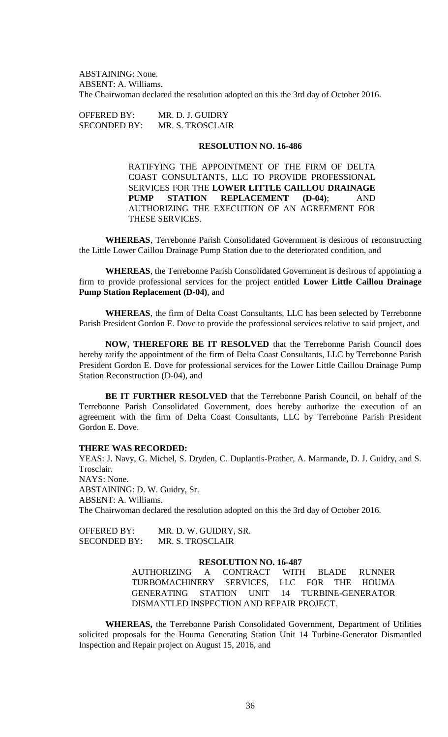ABSTAINING: None. ABSENT: A. Williams. The Chairwoman declared the resolution adopted on this the 3rd day of October 2016.

OFFERED BY: MR. D. J. GUIDRY SECONDED BY: MR. S. TROSCLAIR

# **RESOLUTION NO. 16-486**

RATIFYING THE APPOINTMENT OF THE FIRM OF DELTA COAST CONSULTANTS, LLC TO PROVIDE PROFESSIONAL SERVICES FOR THE **LOWER LITTLE CAILLOU DRAINAGE PUMP STATION REPLACEMENT (D-04)**; AND AUTHORIZING THE EXECUTION OF AN AGREEMENT FOR THESE SERVICES.

**WHEREAS**, Terrebonne Parish Consolidated Government is desirous of reconstructing the Little Lower Caillou Drainage Pump Station due to the deteriorated condition, and

**WHEREAS**, the Terrebonne Parish Consolidated Government is desirous of appointing a firm to provide professional services for the project entitled **Lower Little Caillou Drainage Pump Station Replacement (D-04)**, and

**WHEREAS**, the firm of Delta Coast Consultants, LLC has been selected by Terrebonne Parish President Gordon E. Dove to provide the professional services relative to said project, and

**NOW, THEREFORE BE IT RESOLVED** that the Terrebonne Parish Council does hereby ratify the appointment of the firm of Delta Coast Consultants, LLC by Terrebonne Parish President Gordon E. Dove for professional services for the Lower Little Caillou Drainage Pump Station Reconstruction (D-04), and

**BE IT FURTHER RESOLVED** that the Terrebonne Parish Council, on behalf of the Terrebonne Parish Consolidated Government, does hereby authorize the execution of an agreement with the firm of Delta Coast Consultants, LLC by Terrebonne Parish President Gordon E. Dove.

### **THERE WAS RECORDED:**

YEAS: J. Navy, G. Michel, S. Dryden, C. Duplantis-Prather, A. Marmande, D. J. Guidry, and S. Trosclair. NAYS: None. ABSTAINING: D. W. Guidry, Sr. ABSENT: A. Williams. The Chairwoman declared the resolution adopted on this the 3rd day of October 2016.

OFFERED BY: MR. D. W. GUIDRY, SR. SECONDED BY: MR. S. TROSCLAIR

#### **RESOLUTION NO. 16-487**

AUTHORIZING A CONTRACT WITH BLADE RUNNER TURBOMACHINERY SERVICES, LLC FOR THE HOUMA GENERATING STATION UNIT 14 TURBINE-GENERATOR DISMANTLED INSPECTION AND REPAIR PROJECT.

**WHEREAS,** the Terrebonne Parish Consolidated Government, Department of Utilities solicited proposals for the Houma Generating Station Unit 14 Turbine-Generator Dismantled Inspection and Repair project on August 15, 2016, and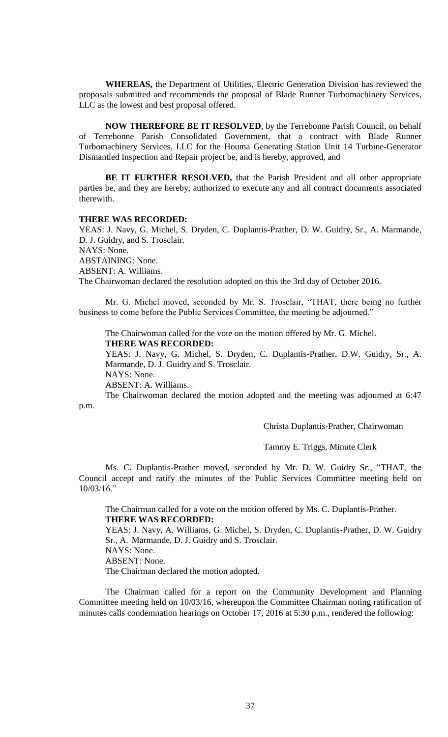**WHEREAS,** the Department of Utilities, Electric Generation Division has reviewed the proposals submitted and recommends the proposal of Blade Runner Turbomachinery Services, LLC as the lowest and best proposal offered.

**NOW THEREFORE BE IT RESOLVED**, by the Terrebonne Parish Council, on behalf of Terrebonne Parish Consolidated Government, that a contract with Blade Runner Turbomachinery Services, LLC for the Houma Generating Station Unit 14 Turbine-Generator Dismantled Inspection and Repair project be, and is hereby, approved, and

**BE IT FURTHER RESOLVED,** that the Parish President and all other appropriate parties be, and they are hereby, authorized to execute any and all contract documents associated therewith.

### **THERE WAS RECORDED:**

YEAS: J. Navy, G. Michel, S. Dryden, C. Duplantis-Prather, D. W. Guidry, Sr., A. Marmande, D. J. Guidry, and S. Trosclair. NAYS: None.

ABSTAINING: None.

ABSENT: A. Williams.

The Chairwoman declared the resolution adopted on this the 3rd day of October 2016.

Mr. G. Michel moved, seconded by Mr. S. Trosclair, "THAT, there being no further business to come before the Public Services Committee, the meeting be adjourned."

The Chairwoman called for the vote on the motion offered by Mr. G. Michel. **THERE WAS RECORDED:**

YEAS: J. Navy, G. Michel, S. Dryden, C. Duplantis-Prather, D.W. Guidry, Sr., A. Marmande, D. J. Guidry and S. Trosclair.

NAYS: None.

ABSENT: A. Williams.

The Chairwoman declared the motion adopted and the meeting was adjourned at 6:47 p.m.

Christa Duplantis-Prather, Chairwoman

Tammy E. Triggs, Minute Clerk

Ms. C. Duplantis-Prather moved, seconded by Mr. D. W. Guidry Sr., "THAT, the Council accept and ratify the minutes of the Public Services Committee meeting held on 10/03/16."

The Chairman called for a vote on the motion offered by Ms. C. Duplantis-Prather. **THERE WAS RECORDED:**

YEAS: J. Navy, A. Williams, G. Michel, S. Dryden, C. Duplantis-Prather, D. W. Guidry Sr., A. Marmande, D. J. Guidry and S. Trosclair. NAYS: None. ABSENT: None. The Chairman declared the motion adopted.

The Chairman called for a report on the Community Development and Planning Committee meeting held on 10/03/16, whereupon the Committee Chairman noting ratification of minutes calls condemnation hearings on October 17, 2016 at 5:30 p.m., rendered the following: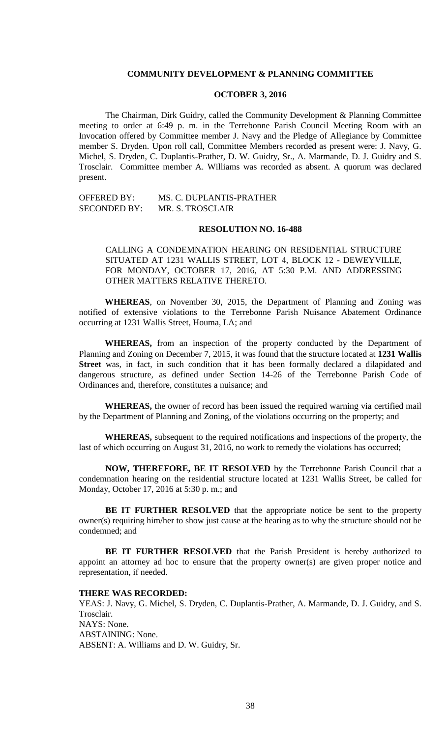### **COMMUNITY DEVELOPMENT & PLANNING COMMITTEE**

### **OCTOBER 3, 2016**

The Chairman, Dirk Guidry, called the Community Development & Planning Committee meeting to order at 6:49 p. m. in the Terrebonne Parish Council Meeting Room with an Invocation offered by Committee member J. Navy and the Pledge of Allegiance by Committee member S. Dryden. Upon roll call, Committee Members recorded as present were: J. Navy, G. Michel, S. Dryden, C. Duplantis-Prather, D. W. Guidry, Sr., A. Marmande, D. J. Guidry and S. Trosclair. Committee member A. Williams was recorded as absent. A quorum was declared present.

OFFERED BY: MS. C. DUPLANTIS-PRATHER SECONDED BY: MR. S. TROSCLAIR

## **RESOLUTION NO. 16-488**

CALLING A CONDEMNATION HEARING ON RESIDENTIAL STRUCTURE SITUATED AT 1231 WALLIS STREET, LOT 4, BLOCK 12 - DEWEYVILLE, FOR MONDAY, OCTOBER 17, 2016, AT 5:30 P.M. AND ADDRESSING OTHER MATTERS RELATIVE THERETO.

**WHEREAS**, on November 30, 2015, the Department of Planning and Zoning was notified of extensive violations to the Terrebonne Parish Nuisance Abatement Ordinance occurring at 1231 Wallis Street, Houma, LA; and

**WHEREAS,** from an inspection of the property conducted by the Department of Planning and Zoning on December 7, 2015, it was found that the structure located at **1231 Wallis Street** was, in fact, in such condition that it has been formally declared a dilapidated and dangerous structure, as defined under Section 14-26 of the Terrebonne Parish Code of Ordinances and, therefore, constitutes a nuisance; and

**WHEREAS,** the owner of record has been issued the required warning via certified mail by the Department of Planning and Zoning, of the violations occurring on the property; and

**WHEREAS,** subsequent to the required notifications and inspections of the property, the last of which occurring on August 31, 2016, no work to remedy the violations has occurred;

**NOW, THEREFORE, BE IT RESOLVED** by the Terrebonne Parish Council that a condemnation hearing on the residential structure located at 1231 Wallis Street, be called for Monday, October 17, 2016 at 5:30 p. m.; and

**BE IT FURTHER RESOLVED** that the appropriate notice be sent to the property owner(s) requiring him/her to show just cause at the hearing as to why the structure should not be condemned; and

**BE IT FURTHER RESOLVED** that the Parish President is hereby authorized to appoint an attorney ad hoc to ensure that the property owner(s) are given proper notice and representation, if needed.

#### **THERE WAS RECORDED:**

YEAS: J. Navy, G. Michel, S. Dryden, C. Duplantis-Prather, A. Marmande, D. J. Guidry, and S. Trosclair. NAYS: None. ABSTAINING: None. ABSENT: A. Williams and D. W. Guidry, Sr.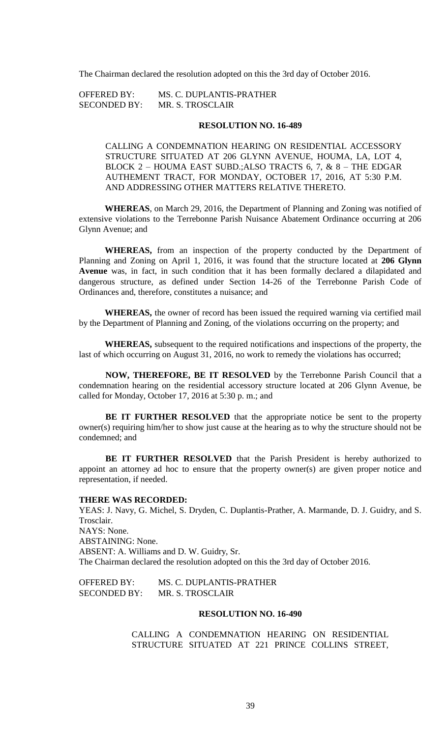The Chairman declared the resolution adopted on this the 3rd day of October 2016.

| <b>OFFERED BY:</b>  | MS. C. DUPLANTIS-PRATHER |
|---------------------|--------------------------|
| <b>SECONDED BY:</b> | <b>MR. S. TROSCLAIR</b>  |

### **RESOLUTION NO. 16-489**

CALLING A CONDEMNATION HEARING ON RESIDENTIAL ACCESSORY STRUCTURE SITUATED AT 206 GLYNN AVENUE, HOUMA, LA, LOT 4, BLOCK 2 – HOUMA EAST SUBD.;ALSO TRACTS 6, 7, & 8 – THE EDGAR AUTHEMENT TRACT, FOR MONDAY, OCTOBER 17, 2016, AT 5:30 P.M. AND ADDRESSING OTHER MATTERS RELATIVE THERETO.

**WHEREAS**, on March 29, 2016, the Department of Planning and Zoning was notified of extensive violations to the Terrebonne Parish Nuisance Abatement Ordinance occurring at 206 Glynn Avenue; and

**WHEREAS,** from an inspection of the property conducted by the Department of Planning and Zoning on April 1, 2016, it was found that the structure located at **206 Glynn Avenue** was, in fact, in such condition that it has been formally declared a dilapidated and dangerous structure, as defined under Section 14-26 of the Terrebonne Parish Code of Ordinances and, therefore, constitutes a nuisance; and

**WHEREAS,** the owner of record has been issued the required warning via certified mail by the Department of Planning and Zoning, of the violations occurring on the property; and

**WHEREAS,** subsequent to the required notifications and inspections of the property, the last of which occurring on August 31, 2016, no work to remedy the violations has occurred;

**NOW, THEREFORE, BE IT RESOLVED** by the Terrebonne Parish Council that a condemnation hearing on the residential accessory structure located at 206 Glynn Avenue, be called for Monday, October 17, 2016 at 5:30 p. m.; and

**BE IT FURTHER RESOLVED** that the appropriate notice be sent to the property owner(s) requiring him/her to show just cause at the hearing as to why the structure should not be condemned; and

**BE IT FURTHER RESOLVED** that the Parish President is hereby authorized to appoint an attorney ad hoc to ensure that the property owner(s) are given proper notice and representation, if needed.

### **THERE WAS RECORDED:**

YEAS: J. Navy, G. Michel, S. Dryden, C. Duplantis-Prather, A. Marmande, D. J. Guidry, and S. Trosclair. NAYS: None. ABSTAINING: None. ABSENT: A. Williams and D. W. Guidry, Sr. The Chairman declared the resolution adopted on this the 3rd day of October 2016.

OFFERED BY: MS. C. DUPLANTIS-PRATHER SECONDED BY: MR. S. TROSCLAIR

### **RESOLUTION NO. 16-490**

CALLING A CONDEMNATION HEARING ON RESIDENTIAL STRUCTURE SITUATED AT 221 PRINCE COLLINS STREET,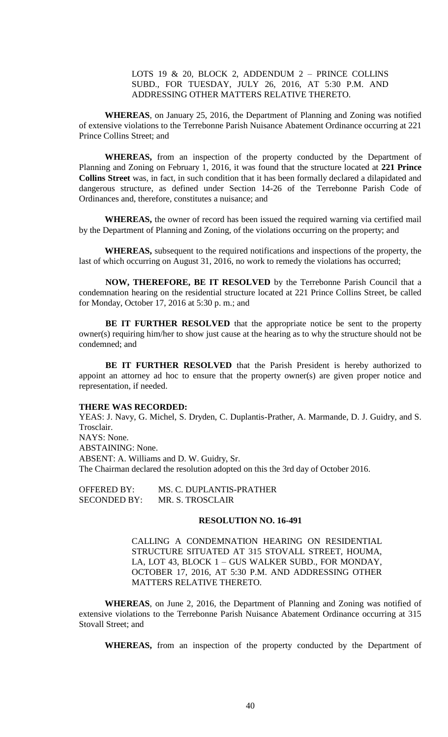# LOTS 19 & 20, BLOCK 2, ADDENDUM 2 – PRINCE COLLINS SUBD., FOR TUESDAY, JULY 26, 2016, AT 5:30 P.M. AND ADDRESSING OTHER MATTERS RELATIVE THERETO.

**WHEREAS**, on January 25, 2016, the Department of Planning and Zoning was notified of extensive violations to the Terrebonne Parish Nuisance Abatement Ordinance occurring at 221 Prince Collins Street; and

**WHEREAS,** from an inspection of the property conducted by the Department of Planning and Zoning on February 1, 2016, it was found that the structure located at **221 Prince Collins Street** was, in fact, in such condition that it has been formally declared a dilapidated and dangerous structure, as defined under Section 14-26 of the Terrebonne Parish Code of Ordinances and, therefore, constitutes a nuisance; and

**WHEREAS,** the owner of record has been issued the required warning via certified mail by the Department of Planning and Zoning, of the violations occurring on the property; and

**WHEREAS,** subsequent to the required notifications and inspections of the property, the last of which occurring on August 31, 2016, no work to remedy the violations has occurred;

**NOW, THEREFORE, BE IT RESOLVED** by the Terrebonne Parish Council that a condemnation hearing on the residential structure located at 221 Prince Collins Street, be called for Monday, October 17, 2016 at 5:30 p. m.; and

**BE IT FURTHER RESOLVED** that the appropriate notice be sent to the property owner(s) requiring him/her to show just cause at the hearing as to why the structure should not be condemned; and

**BE IT FURTHER RESOLVED** that the Parish President is hereby authorized to appoint an attorney ad hoc to ensure that the property owner(s) are given proper notice and representation, if needed.

#### **THERE WAS RECORDED:**

YEAS: J. Navy, G. Michel, S. Dryden, C. Duplantis-Prather, A. Marmande, D. J. Guidry, and S. Trosclair. NAYS: None. ABSTAINING: None. ABSENT: A. Williams and D. W. Guidry, Sr. The Chairman declared the resolution adopted on this the 3rd day of October 2016.

OFFERED BY: MS. C. DUPLANTIS-PRATHER SECONDED BY: MR. S. TROSCLAIR

# **RESOLUTION NO. 16-491**

CALLING A CONDEMNATION HEARING ON RESIDENTIAL STRUCTURE SITUATED AT 315 STOVALL STREET, HOUMA, LA, LOT 43, BLOCK 1 – GUS WALKER SUBD., FOR MONDAY, OCTOBER 17, 2016, AT 5:30 P.M. AND ADDRESSING OTHER MATTERS RELATIVE THERETO.

**WHEREAS**, on June 2, 2016, the Department of Planning and Zoning was notified of extensive violations to the Terrebonne Parish Nuisance Abatement Ordinance occurring at 315 Stovall Street; and

**WHEREAS,** from an inspection of the property conducted by the Department of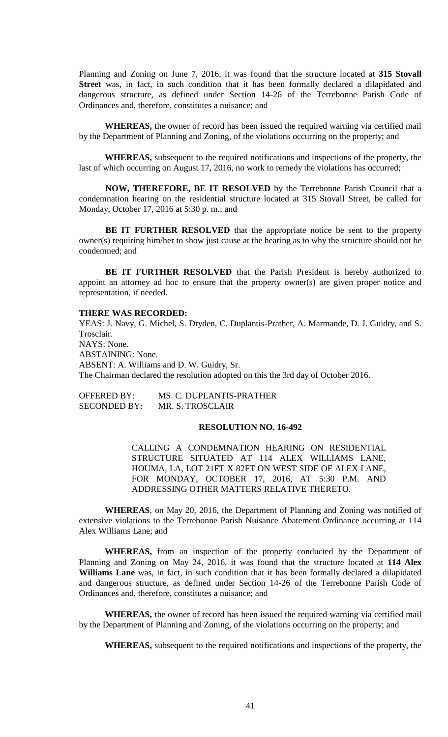Planning and Zoning on June 7, 2016, it was found that the structure located at **315 Stovall Street** was, in fact, in such condition that it has been formally declared a dilapidated and dangerous structure, as defined under Section 14-26 of the Terrebonne Parish Code of Ordinances and, therefore, constitutes a nuisance; and

**WHEREAS,** the owner of record has been issued the required warning via certified mail by the Department of Planning and Zoning, of the violations occurring on the property; and

**WHEREAS,** subsequent to the required notifications and inspections of the property, the last of which occurring on August 17, 2016, no work to remedy the violations has occurred;

**NOW, THEREFORE, BE IT RESOLVED** by the Terrebonne Parish Council that a condemnation hearing on the residential structure located at 315 Stovall Street, be called for Monday, October 17, 2016 at 5:30 p. m.; and

**BE IT FURTHER RESOLVED** that the appropriate notice be sent to the property owner(s) requiring him/her to show just cause at the hearing as to why the structure should not be condemned; and

**BE IT FURTHER RESOLVED** that the Parish President is hereby authorized to appoint an attorney ad hoc to ensure that the property owner(s) are given proper notice and representation, if needed.

### **THERE WAS RECORDED:**

YEAS: J. Navy, G. Michel, S. Dryden, C. Duplantis-Prather, A. Marmande, D. J. Guidry, and S. Trosclair. NAYS: None. ABSTAINING: None. ABSENT: A. Williams and D. W. Guidry, Sr. The Chairman declared the resolution adopted on this the 3rd day of October 2016.

OFFERED BY: MS. C. DUPLANTIS-PRATHER SECONDED BY: MR. S. TROSCLAIR

### **RESOLUTION NO. 16-492**

CALLING A CONDEMNATION HEARING ON RESIDENTIAL STRUCTURE SITUATED AT 114 ALEX WILLIAMS LANE, HOUMA, LA, LOT 21FT X 82FT ON WEST SIDE OF ALEX LANE, FOR MONDAY, OCTOBER 17, 2016, AT 5:30 P.M. AND ADDRESSING OTHER MATTERS RELATIVE THERETO.

**WHEREAS**, on May 20, 2016, the Department of Planning and Zoning was notified of extensive violations to the Terrebonne Parish Nuisance Abatement Ordinance occurring at 114 Alex Williams Lane; and

**WHEREAS,** from an inspection of the property conducted by the Department of Planning and Zoning on May 24, 2016, it was found that the structure located at **114 Alex Williams Lane** was, in fact, in such condition that it has been formally declared a dilapidated and dangerous structure, as defined under Section 14-26 of the Terrebonne Parish Code of Ordinances and, therefore, constitutes a nuisance; and

**WHEREAS,** the owner of record has been issued the required warning via certified mail by the Department of Planning and Zoning, of the violations occurring on the property; and

**WHEREAS,** subsequent to the required notifications and inspections of the property, the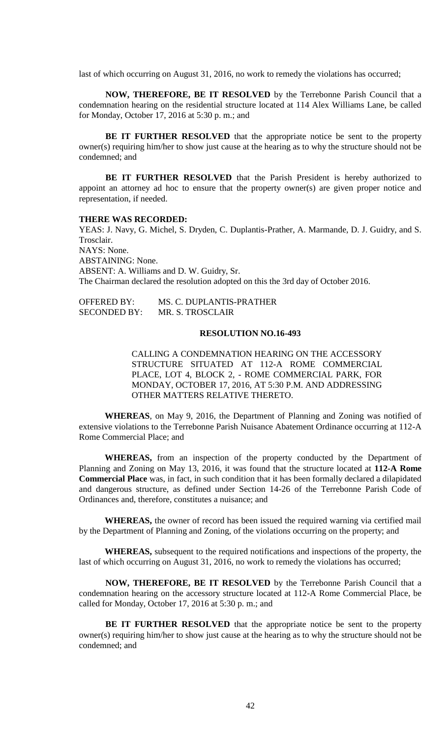last of which occurring on August 31, 2016, no work to remedy the violations has occurred;

**NOW, THEREFORE, BE IT RESOLVED** by the Terrebonne Parish Council that a condemnation hearing on the residential structure located at 114 Alex Williams Lane, be called for Monday, October 17, 2016 at 5:30 p. m.; and

**BE IT FURTHER RESOLVED** that the appropriate notice be sent to the property owner(s) requiring him/her to show just cause at the hearing as to why the structure should not be condemned; and

**BE IT FURTHER RESOLVED** that the Parish President is hereby authorized to appoint an attorney ad hoc to ensure that the property owner(s) are given proper notice and representation, if needed.

#### **THERE WAS RECORDED:**

YEAS: J. Navy, G. Michel, S. Dryden, C. Duplantis-Prather, A. Marmande, D. J. Guidry, and S. Trosclair. NAYS: None. ABSTAINING: None. ABSENT: A. Williams and D. W. Guidry, Sr. The Chairman declared the resolution adopted on this the 3rd day of October 2016.

| <b>OFFERED BY:</b>  | MS. C. DUPLANTIS-PRATHER |
|---------------------|--------------------------|
| <b>SECONDED BY:</b> | MR. S. TROSCLAIR         |

### **RESOLUTION NO.16-493**

CALLING A CONDEMNATION HEARING ON THE ACCESSORY STRUCTURE SITUATED AT 112-A ROME COMMERCIAL PLACE, LOT 4, BLOCK 2, - ROME COMMERCIAL PARK, FOR MONDAY, OCTOBER 17, 2016, AT 5:30 P.M. AND ADDRESSING OTHER MATTERS RELATIVE THERETO.

**WHEREAS**, on May 9, 2016, the Department of Planning and Zoning was notified of extensive violations to the Terrebonne Parish Nuisance Abatement Ordinance occurring at 112-A Rome Commercial Place; and

**WHEREAS,** from an inspection of the property conducted by the Department of Planning and Zoning on May 13, 2016, it was found that the structure located at **112-A Rome Commercial Place** was, in fact, in such condition that it has been formally declared a dilapidated and dangerous structure, as defined under Section 14-26 of the Terrebonne Parish Code of Ordinances and, therefore, constitutes a nuisance; and

**WHEREAS,** the owner of record has been issued the required warning via certified mail by the Department of Planning and Zoning, of the violations occurring on the property; and

**WHEREAS,** subsequent to the required notifications and inspections of the property, the last of which occurring on August 31, 2016, no work to remedy the violations has occurred;

**NOW, THEREFORE, BE IT RESOLVED** by the Terrebonne Parish Council that a condemnation hearing on the accessory structure located at 112-A Rome Commercial Place, be called for Monday, October 17, 2016 at 5:30 p. m.; and

**BE IT FURTHER RESOLVED** that the appropriate notice be sent to the property owner(s) requiring him/her to show just cause at the hearing as to why the structure should not be condemned; and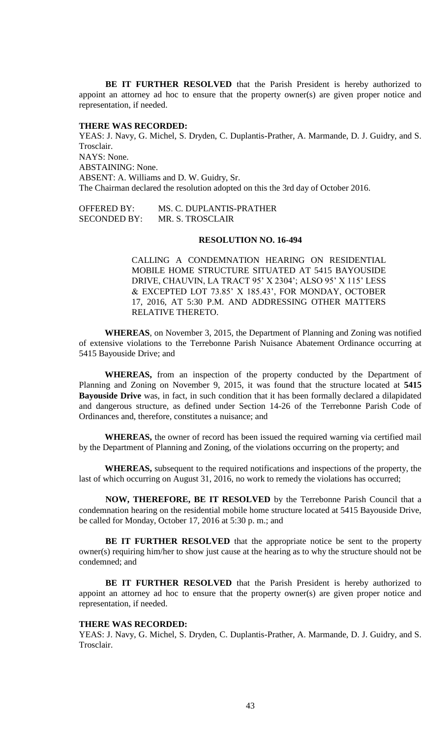**BE IT FURTHER RESOLVED** that the Parish President is hereby authorized to appoint an attorney ad hoc to ensure that the property owner(s) are given proper notice and representation, if needed.

## **THERE WAS RECORDED:**

YEAS: J. Navy, G. Michel, S. Dryden, C. Duplantis-Prather, A. Marmande, D. J. Guidry, and S. Trosclair. NAYS: None. ABSTAINING: None. ABSENT: A. Williams and D. W. Guidry, Sr. The Chairman declared the resolution adopted on this the 3rd day of October 2016.

OFFERED BY: MS. C. DUPLANTIS-PRATHER SECONDED BY: MR. S. TROSCLAIR

#### **RESOLUTION NO. 16-494**

CALLING A CONDEMNATION HEARING ON RESIDENTIAL MOBILE HOME STRUCTURE SITUATED AT 5415 BAYOUSIDE DRIVE, CHAUVIN, LA TRACT 95' X 2304'; ALSO 95' X 115' LESS & EXCEPTED LOT 73.85' X 185.43', FOR MONDAY, OCTOBER 17, 2016, AT 5:30 P.M. AND ADDRESSING OTHER MATTERS RELATIVE THERETO.

**WHEREAS**, on November 3, 2015, the Department of Planning and Zoning was notified of extensive violations to the Terrebonne Parish Nuisance Abatement Ordinance occurring at 5415 Bayouside Drive; and

**WHEREAS,** from an inspection of the property conducted by the Department of Planning and Zoning on November 9, 2015, it was found that the structure located at **5415 Bayouside Drive** was, in fact, in such condition that it has been formally declared a dilapidated and dangerous structure, as defined under Section 14-26 of the Terrebonne Parish Code of Ordinances and, therefore, constitutes a nuisance; and

**WHEREAS,** the owner of record has been issued the required warning via certified mail by the Department of Planning and Zoning, of the violations occurring on the property; and

**WHEREAS,** subsequent to the required notifications and inspections of the property, the last of which occurring on August 31, 2016, no work to remedy the violations has occurred;

**NOW, THEREFORE, BE IT RESOLVED** by the Terrebonne Parish Council that a condemnation hearing on the residential mobile home structure located at 5415 Bayouside Drive, be called for Monday, October 17, 2016 at 5:30 p. m.; and

**BE IT FURTHER RESOLVED** that the appropriate notice be sent to the property owner(s) requiring him/her to show just cause at the hearing as to why the structure should not be condemned; and

**BE IT FURTHER RESOLVED** that the Parish President is hereby authorized to appoint an attorney ad hoc to ensure that the property owner(s) are given proper notice and representation, if needed.

# **THERE WAS RECORDED:**

YEAS: J. Navy, G. Michel, S. Dryden, C. Duplantis-Prather, A. Marmande, D. J. Guidry, and S. Trosclair.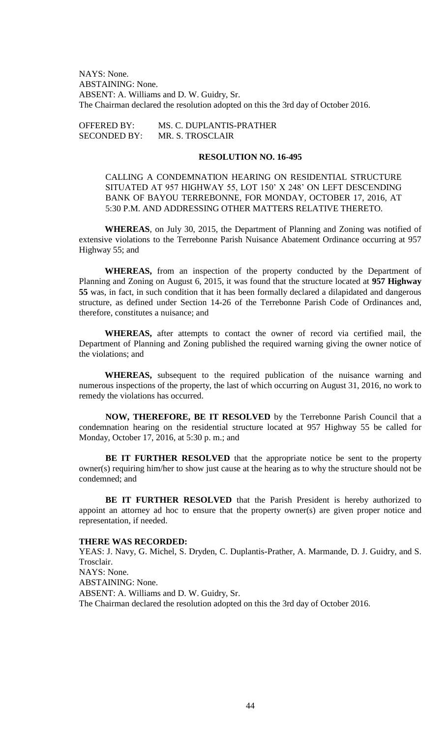NAYS: None. ABSTAINING: None. ABSENT: A. Williams and D. W. Guidry, Sr. The Chairman declared the resolution adopted on this the 3rd day of October 2016.

| <b>OFFERED BY:</b>  | MS. C. DUPLANTIS-PRATHER |
|---------------------|--------------------------|
| <b>SECONDED BY:</b> | MR. S. TROSCLAIR         |

#### **RESOLUTION NO. 16-495**

CALLING A CONDEMNATION HEARING ON RESIDENTIAL STRUCTURE SITUATED AT 957 HIGHWAY 55, LOT 150' X 248' ON LEFT DESCENDING BANK OF BAYOU TERREBONNE, FOR MONDAY, OCTOBER 17, 2016, AT 5:30 P.M. AND ADDRESSING OTHER MATTERS RELATIVE THERETO.

**WHEREAS**, on July 30, 2015, the Department of Planning and Zoning was notified of extensive violations to the Terrebonne Parish Nuisance Abatement Ordinance occurring at 957 Highway 55; and

**WHEREAS,** from an inspection of the property conducted by the Department of Planning and Zoning on August 6, 2015, it was found that the structure located at **957 Highway 55** was, in fact, in such condition that it has been formally declared a dilapidated and dangerous structure, as defined under Section 14-26 of the Terrebonne Parish Code of Ordinances and, therefore, constitutes a nuisance; and

**WHEREAS,** after attempts to contact the owner of record via certified mail, the Department of Planning and Zoning published the required warning giving the owner notice of the violations; and

**WHEREAS,** subsequent to the required publication of the nuisance warning and numerous inspections of the property, the last of which occurring on August 31, 2016, no work to remedy the violations has occurred.

**NOW, THEREFORE, BE IT RESOLVED** by the Terrebonne Parish Council that a condemnation hearing on the residential structure located at 957 Highway 55 be called for Monday, October 17, 2016, at 5:30 p. m.; and

**BE IT FURTHER RESOLVED** that the appropriate notice be sent to the property owner(s) requiring him/her to show just cause at the hearing as to why the structure should not be condemned; and

**BE IT FURTHER RESOLVED** that the Parish President is hereby authorized to appoint an attorney ad hoc to ensure that the property owner(s) are given proper notice and representation, if needed.

# **THERE WAS RECORDED:**

YEAS: J. Navy, G. Michel, S. Dryden, C. Duplantis-Prather, A. Marmande, D. J. Guidry, and S. Trosclair. NAYS: None. ABSTAINING: None. ABSENT: A. Williams and D. W. Guidry, Sr. The Chairman declared the resolution adopted on this the 3rd day of October 2016.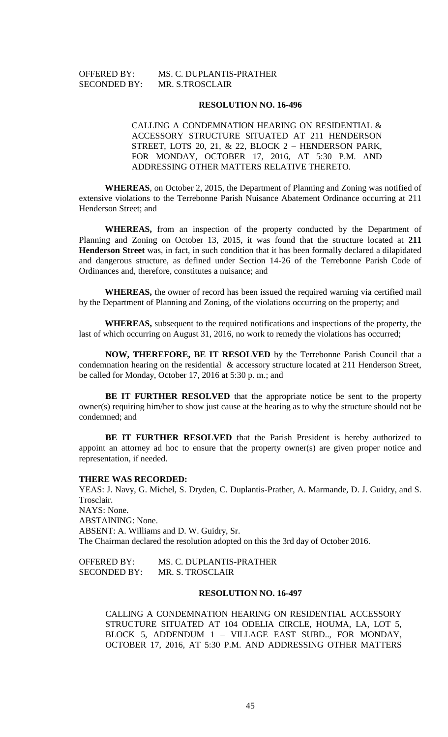# OFFERED BY: MS. C. DUPLANTIS-PRATHER SECONDED BY: MR. S.TROSCLAIR

#### **RESOLUTION NO. 16-496**

CALLING A CONDEMNATION HEARING ON RESIDENTIAL & ACCESSORY STRUCTURE SITUATED AT 211 HENDERSON STREET, LOTS 20, 21, & 22, BLOCK 2 – HENDERSON PARK, FOR MONDAY, OCTOBER 17, 2016, AT 5:30 P.M. AND ADDRESSING OTHER MATTERS RELATIVE THERETO.

**WHEREAS**, on October 2, 2015, the Department of Planning and Zoning was notified of extensive violations to the Terrebonne Parish Nuisance Abatement Ordinance occurring at 211 Henderson Street; and

**WHEREAS,** from an inspection of the property conducted by the Department of Planning and Zoning on October 13, 2015, it was found that the structure located at **211 Henderson Street** was, in fact, in such condition that it has been formally declared a dilapidated and dangerous structure, as defined under Section 14-26 of the Terrebonne Parish Code of Ordinances and, therefore, constitutes a nuisance; and

**WHEREAS,** the owner of record has been issued the required warning via certified mail by the Department of Planning and Zoning, of the violations occurring on the property; and

**WHEREAS,** subsequent to the required notifications and inspections of the property, the last of which occurring on August 31, 2016, no work to remedy the violations has occurred;

**NOW, THEREFORE, BE IT RESOLVED** by the Terrebonne Parish Council that a condemnation hearing on the residential & accessory structure located at 211 Henderson Street, be called for Monday, October 17, 2016 at 5:30 p. m.; and

**BE IT FURTHER RESOLVED** that the appropriate notice be sent to the property owner(s) requiring him/her to show just cause at the hearing as to why the structure should not be condemned; and

**BE IT FURTHER RESOLVED** that the Parish President is hereby authorized to appoint an attorney ad hoc to ensure that the property owner(s) are given proper notice and representation, if needed.

#### **THERE WAS RECORDED:**

YEAS: J. Navy, G. Michel, S. Dryden, C. Duplantis-Prather, A. Marmande, D. J. Guidry, and S. Trosclair. NAYS: None. ABSTAINING: None. ABSENT: A. Williams and D. W. Guidry, Sr. The Chairman declared the resolution adopted on this the 3rd day of October 2016.

OFFERED BY: MS. C. DUPLANTIS-PRATHER SECONDED BY: MR. S. TROSCLAIR

## **RESOLUTION NO. 16-497**

CALLING A CONDEMNATION HEARING ON RESIDENTIAL ACCESSORY STRUCTURE SITUATED AT 104 ODELIA CIRCLE, HOUMA, LA, LOT 5, BLOCK 5, ADDENDUM 1 – VILLAGE EAST SUBD.., FOR MONDAY, OCTOBER 17, 2016, AT 5:30 P.M. AND ADDRESSING OTHER MATTERS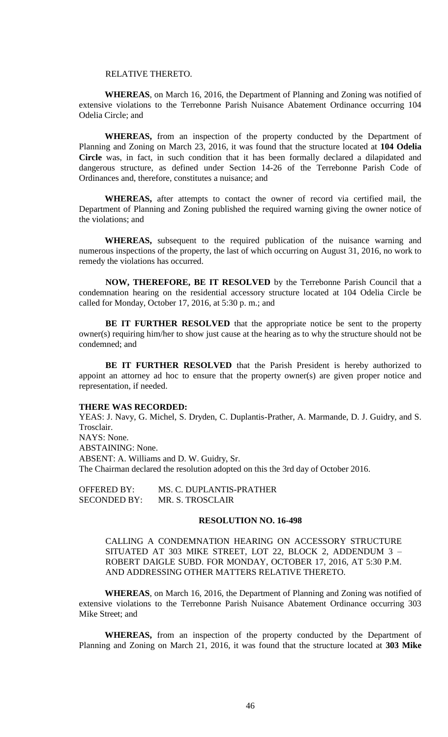#### RELATIVE THERETO.

**WHEREAS**, on March 16, 2016, the Department of Planning and Zoning was notified of extensive violations to the Terrebonne Parish Nuisance Abatement Ordinance occurring 104 Odelia Circle; and

**WHEREAS,** from an inspection of the property conducted by the Department of Planning and Zoning on March 23, 2016, it was found that the structure located at **104 Odelia Circle** was, in fact, in such condition that it has been formally declared a dilapidated and dangerous structure, as defined under Section 14-26 of the Terrebonne Parish Code of Ordinances and, therefore, constitutes a nuisance; and

**WHEREAS,** after attempts to contact the owner of record via certified mail, the Department of Planning and Zoning published the required warning giving the owner notice of the violations; and

**WHEREAS,** subsequent to the required publication of the nuisance warning and numerous inspections of the property, the last of which occurring on August 31, 2016, no work to remedy the violations has occurred.

**NOW, THEREFORE, BE IT RESOLVED** by the Terrebonne Parish Council that a condemnation hearing on the residential accessory structure located at 104 Odelia Circle be called for Monday, October 17, 2016, at 5:30 p. m.; and

**BE IT FURTHER RESOLVED** that the appropriate notice be sent to the property owner(s) requiring him/her to show just cause at the hearing as to why the structure should not be condemned; and

**BE IT FURTHER RESOLVED** that the Parish President is hereby authorized to appoint an attorney ad hoc to ensure that the property owner(s) are given proper notice and representation, if needed.

#### **THERE WAS RECORDED:**

YEAS: J. Navy, G. Michel, S. Dryden, C. Duplantis-Prather, A. Marmande, D. J. Guidry, and S. Trosclair. NAYS: None. ABSTAINING: None. ABSENT: A. Williams and D. W. Guidry, Sr. The Chairman declared the resolution adopted on this the 3rd day of October 2016.

OFFERED BY: MS. C. DUPLANTIS-PRATHER SECONDED BY: MR. S. TROSCLAIR

### **RESOLUTION NO. 16-498**

CALLING A CONDEMNATION HEARING ON ACCESSORY STRUCTURE SITUATED AT 303 MIKE STREET, LOT 22, BLOCK 2, ADDENDUM 3 – ROBERT DAIGLE SUBD. FOR MONDAY, OCTOBER 17, 2016, AT 5:30 P.M. AND ADDRESSING OTHER MATTERS RELATIVE THERETO.

**WHEREAS**, on March 16, 2016, the Department of Planning and Zoning was notified of extensive violations to the Terrebonne Parish Nuisance Abatement Ordinance occurring 303 Mike Street; and

**WHEREAS,** from an inspection of the property conducted by the Department of Planning and Zoning on March 21, 2016, it was found that the structure located at **303 Mike**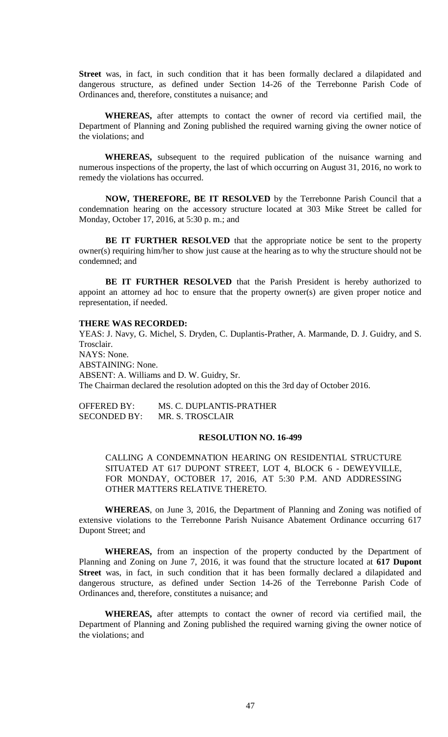**Street** was, in fact, in such condition that it has been formally declared a dilapidated and dangerous structure, as defined under Section 14-26 of the Terrebonne Parish Code of Ordinances and, therefore, constitutes a nuisance; and

**WHEREAS,** after attempts to contact the owner of record via certified mail, the Department of Planning and Zoning published the required warning giving the owner notice of the violations; and

**WHEREAS,** subsequent to the required publication of the nuisance warning and numerous inspections of the property, the last of which occurring on August 31, 2016, no work to remedy the violations has occurred.

**NOW, THEREFORE, BE IT RESOLVED** by the Terrebonne Parish Council that a condemnation hearing on the accessory structure located at 303 Mike Street be called for Monday, October 17, 2016, at 5:30 p. m.; and

**BE IT FURTHER RESOLVED** that the appropriate notice be sent to the property owner(s) requiring him/her to show just cause at the hearing as to why the structure should not be condemned; and

**BE IT FURTHER RESOLVED** that the Parish President is hereby authorized to appoint an attorney ad hoc to ensure that the property owner(s) are given proper notice and representation, if needed.

## **THERE WAS RECORDED:**

YEAS: J. Navy, G. Michel, S. Dryden, C. Duplantis-Prather, A. Marmande, D. J. Guidry, and S. Trosclair. NAYS: None. ABSTAINING: None. ABSENT: A. Williams and D. W. Guidry, Sr. The Chairman declared the resolution adopted on this the 3rd day of October 2016.

OFFERED BY: MS. C. DUPLANTIS-PRATHER SECONDED BY: MR. S. TROSCLAIR

### **RESOLUTION NO. 16-499**

CALLING A CONDEMNATION HEARING ON RESIDENTIAL STRUCTURE SITUATED AT 617 DUPONT STREET, LOT 4, BLOCK 6 - DEWEYVILLE, FOR MONDAY, OCTOBER 17, 2016, AT 5:30 P.M. AND ADDRESSING OTHER MATTERS RELATIVE THERETO.

**WHEREAS**, on June 3, 2016, the Department of Planning and Zoning was notified of extensive violations to the Terrebonne Parish Nuisance Abatement Ordinance occurring 617 Dupont Street; and

**WHEREAS,** from an inspection of the property conducted by the Department of Planning and Zoning on June 7, 2016, it was found that the structure located at **617 Dupont Street** was, in fact, in such condition that it has been formally declared a dilapidated and dangerous structure, as defined under Section 14-26 of the Terrebonne Parish Code of Ordinances and, therefore, constitutes a nuisance; and

**WHEREAS,** after attempts to contact the owner of record via certified mail, the Department of Planning and Zoning published the required warning giving the owner notice of the violations; and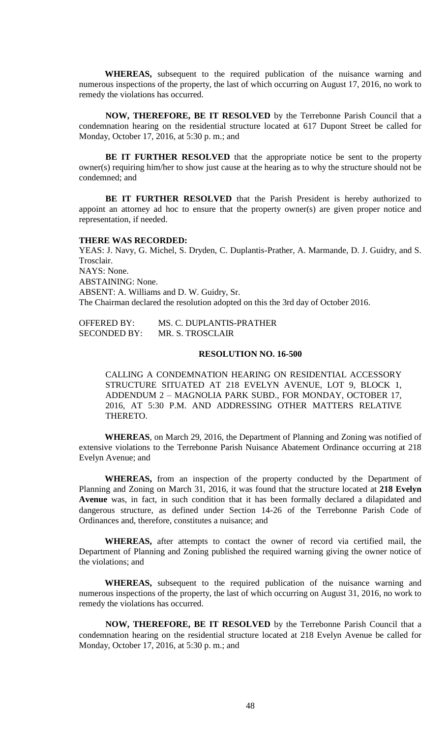**WHEREAS,** subsequent to the required publication of the nuisance warning and numerous inspections of the property, the last of which occurring on August 17, 2016, no work to remedy the violations has occurred.

**NOW, THEREFORE, BE IT RESOLVED** by the Terrebonne Parish Council that a condemnation hearing on the residential structure located at 617 Dupont Street be called for Monday, October 17, 2016, at 5:30 p. m.; and

**BE IT FURTHER RESOLVED** that the appropriate notice be sent to the property owner(s) requiring him/her to show just cause at the hearing as to why the structure should not be condemned; and

**BE IT FURTHER RESOLVED** that the Parish President is hereby authorized to appoint an attorney ad hoc to ensure that the property owner(s) are given proper notice and representation, if needed.

#### **THERE WAS RECORDED:**

YEAS: J. Navy, G. Michel, S. Dryden, C. Duplantis-Prather, A. Marmande, D. J. Guidry, and S. Trosclair. NAYS: None. ABSTAINING: None. ABSENT: A. Williams and D. W. Guidry, Sr. The Chairman declared the resolution adopted on this the 3rd day of October 2016.

OFFERED BY: MS. C. DUPLANTIS-PRATHER SECONDED BY: MR. S. TROSCLAIR

## **RESOLUTION NO. 16-500**

CALLING A CONDEMNATION HEARING ON RESIDENTIAL ACCESSORY STRUCTURE SITUATED AT 218 EVELYN AVENUE, LOT 9, BLOCK 1, ADDENDUM 2 – MAGNOLIA PARK SUBD., FOR MONDAY, OCTOBER 17, 2016, AT 5:30 P.M. AND ADDRESSING OTHER MATTERS RELATIVE THERETO.

**WHEREAS**, on March 29, 2016, the Department of Planning and Zoning was notified of extensive violations to the Terrebonne Parish Nuisance Abatement Ordinance occurring at 218 Evelyn Avenue; and

**WHEREAS,** from an inspection of the property conducted by the Department of Planning and Zoning on March 31, 2016, it was found that the structure located at **218 Evelyn Avenue** was, in fact, in such condition that it has been formally declared a dilapidated and dangerous structure, as defined under Section 14-26 of the Terrebonne Parish Code of Ordinances and, therefore, constitutes a nuisance; and

**WHEREAS,** after attempts to contact the owner of record via certified mail, the Department of Planning and Zoning published the required warning giving the owner notice of the violations; and

**WHEREAS,** subsequent to the required publication of the nuisance warning and numerous inspections of the property, the last of which occurring on August 31, 2016, no work to remedy the violations has occurred.

**NOW, THEREFORE, BE IT RESOLVED** by the Terrebonne Parish Council that a condemnation hearing on the residential structure located at 218 Evelyn Avenue be called for Monday, October 17, 2016, at 5:30 p. m.; and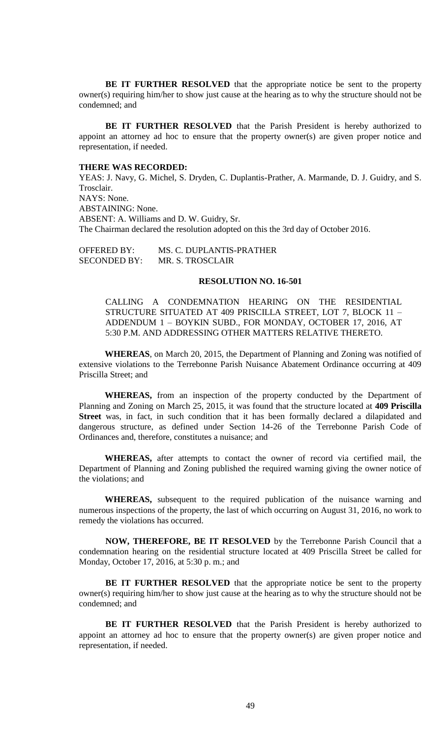**BE IT FURTHER RESOLVED** that the appropriate notice be sent to the property owner(s) requiring him/her to show just cause at the hearing as to why the structure should not be condemned; and

**BE IT FURTHER RESOLVED** that the Parish President is hereby authorized to appoint an attorney ad hoc to ensure that the property owner(s) are given proper notice and representation, if needed.

### **THERE WAS RECORDED:**

YEAS: J. Navy, G. Michel, S. Dryden, C. Duplantis-Prather, A. Marmande, D. J. Guidry, and S. Trosclair. NAYS: None. ABSTAINING: None. ABSENT: A. Williams and D. W. Guidry, Sr. The Chairman declared the resolution adopted on this the 3rd day of October 2016.

OFFERED BY: MS. C. DUPLANTIS-PRATHER SECONDED BY: MR. S. TROSCLAIR

### **RESOLUTION NO. 16-501**

CALLING A CONDEMNATION HEARING ON THE RESIDENTIAL STRUCTURE SITUATED AT 409 PRISCILLA STREET, LOT 7, BLOCK 11 – ADDENDUM 1 – BOYKIN SUBD., FOR MONDAY, OCTOBER 17, 2016, AT 5:30 P.M. AND ADDRESSING OTHER MATTERS RELATIVE THERETO.

**WHEREAS**, on March 20, 2015, the Department of Planning and Zoning was notified of extensive violations to the Terrebonne Parish Nuisance Abatement Ordinance occurring at 409 Priscilla Street; and

**WHEREAS,** from an inspection of the property conducted by the Department of Planning and Zoning on March 25, 2015, it was found that the structure located at **409 Priscilla Street** was, in fact, in such condition that it has been formally declared a dilapidated and dangerous structure, as defined under Section 14-26 of the Terrebonne Parish Code of Ordinances and, therefore, constitutes a nuisance; and

**WHEREAS,** after attempts to contact the owner of record via certified mail, the Department of Planning and Zoning published the required warning giving the owner notice of the violations; and

**WHEREAS,** subsequent to the required publication of the nuisance warning and numerous inspections of the property, the last of which occurring on August 31, 2016, no work to remedy the violations has occurred.

**NOW, THEREFORE, BE IT RESOLVED** by the Terrebonne Parish Council that a condemnation hearing on the residential structure located at 409 Priscilla Street be called for Monday, October 17, 2016, at 5:30 p. m.; and

**BE IT FURTHER RESOLVED** that the appropriate notice be sent to the property owner(s) requiring him/her to show just cause at the hearing as to why the structure should not be condemned; and

**BE IT FURTHER RESOLVED** that the Parish President is hereby authorized to appoint an attorney ad hoc to ensure that the property owner(s) are given proper notice and representation, if needed.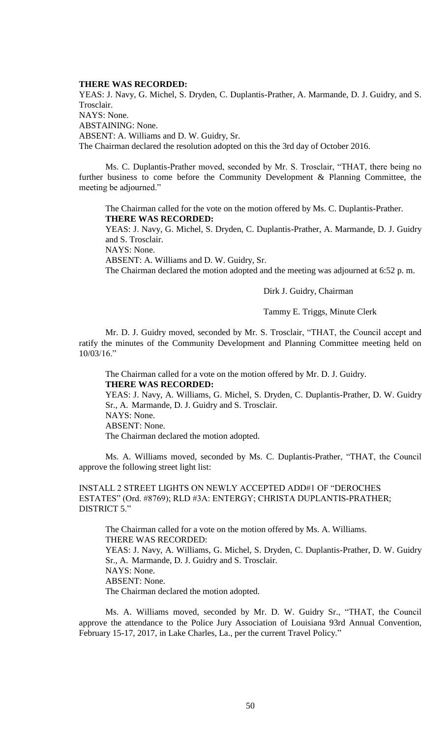### **THERE WAS RECORDED:**

YEAS: J. Navy, G. Michel, S. Dryden, C. Duplantis-Prather, A. Marmande, D. J. Guidry, and S. Trosclair. NAYS: None. ABSTAINING: None. ABSENT: A. Williams and D. W. Guidry, Sr. The Chairman declared the resolution adopted on this the 3rd day of October 2016.

Ms. C. Duplantis-Prather moved, seconded by Mr. S. Trosclair, "THAT, there being no further business to come before the Community Development & Planning Committee, the meeting be adjourned."

The Chairman called for the vote on the motion offered by Ms. C. Duplantis-Prather. **THERE WAS RECORDED:**

YEAS: J. Navy, G. Michel, S. Dryden, C. Duplantis-Prather, A. Marmande, D. J. Guidry and S. Trosclair.

NAYS: None.

ABSENT: A. Williams and D. W. Guidry, Sr.

The Chairman declared the motion adopted and the meeting was adjourned at 6:52 p. m.

Dirk J. Guidry, Chairman

Tammy E. Triggs, Minute Clerk

Mr. D. J. Guidry moved, seconded by Mr. S. Trosclair, "THAT, the Council accept and ratify the minutes of the Community Development and Planning Committee meeting held on 10/03/16."

The Chairman called for a vote on the motion offered by Mr. D. J. Guidry. **THERE WAS RECORDED:**

YEAS: J. Navy, A. Williams, G. Michel, S. Dryden, C. Duplantis-Prather, D. W. Guidry Sr., A. Marmande, D. J. Guidry and S. Trosclair. NAYS: None. ABSENT: None.

The Chairman declared the motion adopted.

Ms. A. Williams moved, seconded by Ms. C. Duplantis-Prather, "THAT, the Council approve the following street light list:

INSTALL 2 STREET LIGHTS ON NEWLY ACCEPTED ADD#1 OF "DEROCHES ESTATES" (Ord. #8769); RLD #3A: ENTERGY; CHRISTA DUPLANTIS-PRATHER; DISTRICT 5"

The Chairman called for a vote on the motion offered by Ms. A. Williams. THERE WAS RECORDED: YEAS: J. Navy, A. Williams, G. Michel, S. Dryden, C. Duplantis-Prather, D. W. Guidry Sr., A. Marmande, D. J. Guidry and S. Trosclair. NAYS: None. ABSENT: None. The Chairman declared the motion adopted.

Ms. A. Williams moved, seconded by Mr. D. W. Guidry Sr., "THAT, the Council approve the attendance to the Police Jury Association of Louisiana 93rd Annual Convention, February 15-17, 2017, in Lake Charles, La., per the current Travel Policy."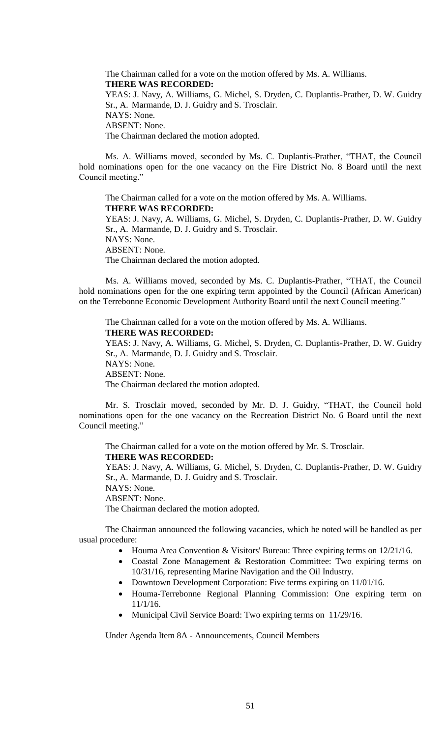The Chairman called for a vote on the motion offered by Ms. A. Williams. **THERE WAS RECORDED:** YEAS: J. Navy, A. Williams, G. Michel, S. Dryden, C. Duplantis-Prather, D. W. Guidry Sr., A. Marmande, D. J. Guidry and S. Trosclair. NAYS: None. ABSENT: None. The Chairman declared the motion adopted.

Ms. A. Williams moved, seconded by Ms. C. Duplantis-Prather, "THAT, the Council hold nominations open for the one vacancy on the Fire District No. 8 Board until the next Council meeting."

The Chairman called for a vote on the motion offered by Ms. A. Williams. **THERE WAS RECORDED:** YEAS: J. Navy, A. Williams, G. Michel, S. Dryden, C. Duplantis-Prather, D. W. Guidry Sr., A. Marmande, D. J. Guidry and S. Trosclair.

NAYS: None. ABSENT: None. The Chairman declared the motion adopted.

Ms. A. Williams moved, seconded by Ms. C. Duplantis-Prather, "THAT, the Council hold nominations open for the one expiring term appointed by the Council (African American) on the Terrebonne Economic Development Authority Board until the next Council meeting."

The Chairman called for a vote on the motion offered by Ms. A. Williams. **THERE WAS RECORDED:** YEAS: J. Navy, A. Williams, G. Michel, S. Dryden, C. Duplantis-Prather, D. W. Guidry Sr., A. Marmande, D. J. Guidry and S. Trosclair. NAYS: None. ABSENT: None. The Chairman declared the motion adopted.

Mr. S. Trosclair moved, seconded by Mr. D. J. Guidry, "THAT, the Council hold nominations open for the one vacancy on the Recreation District No. 6 Board until the next Council meeting."

The Chairman called for a vote on the motion offered by Mr. S. Trosclair.

**THERE WAS RECORDED:**

YEAS: J. Navy, A. Williams, G. Michel, S. Dryden, C. Duplantis-Prather, D. W. Guidry Sr., A. Marmande, D. J. Guidry and S. Trosclair.

NAYS: None.

ABSENT: None.

The Chairman declared the motion adopted.

The Chairman announced the following vacancies, which he noted will be handled as per usual procedure:

- Houma Area Convention & Visitors' Bureau: Three expiring terms on 12/21/16.
- Coastal Zone Management & Restoration Committee: Two expiring terms on 10/31/16, representing Marine Navigation and the Oil Industry.
- Downtown Development Corporation: Five terms expiring on 11/01/16.
- Houma-Terrebonne Regional Planning Commission: One expiring term on 11/1/16.
- Municipal Civil Service Board: Two expiring terms on 11/29/16.

Under Agenda Item 8A - Announcements, Council Members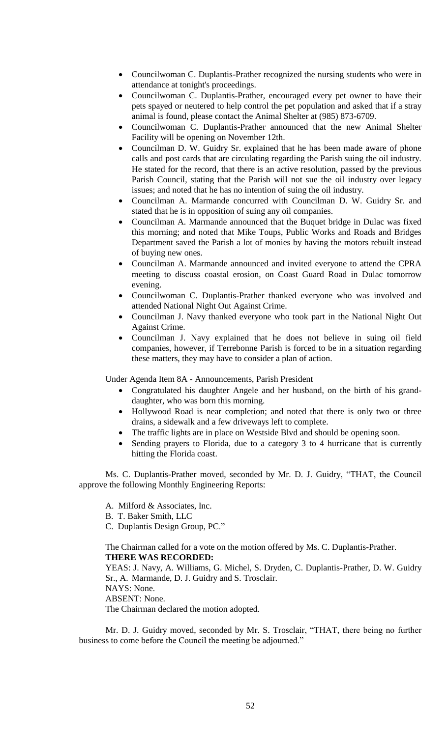- Councilwoman C. Duplantis-Prather recognized the nursing students who were in attendance at tonight's proceedings.
- Councilwoman C. Duplantis-Prather, encouraged every pet owner to have their pets spayed or neutered to help control the pet population and asked that if a stray animal is found, please contact the Animal Shelter at (985) 873-6709.
- Councilwoman C. Duplantis-Prather announced that the new Animal Shelter Facility will be opening on November 12th.
- Councilman D. W. Guidry Sr. explained that he has been made aware of phone calls and post cards that are circulating regarding the Parish suing the oil industry. He stated for the record, that there is an active resolution, passed by the previous Parish Council, stating that the Parish will not sue the oil industry over legacy issues; and noted that he has no intention of suing the oil industry.
- Councilman A. Marmande concurred with Councilman D. W. Guidry Sr. and stated that he is in opposition of suing any oil companies.
- Councilman A. Marmande announced that the Buquet bridge in Dulac was fixed this morning; and noted that Mike Toups, Public Works and Roads and Bridges Department saved the Parish a lot of monies by having the motors rebuilt instead of buying new ones.
- Councilman A. Marmande announced and invited everyone to attend the CPRA meeting to discuss coastal erosion, on Coast Guard Road in Dulac tomorrow evening.
- Councilwoman C. Duplantis-Prather thanked everyone who was involved and attended National Night Out Against Crime.
- Councilman J. Navy thanked everyone who took part in the National Night Out Against Crime.
- Councilman J. Navy explained that he does not believe in suing oil field companies, however, if Terrebonne Parish is forced to be in a situation regarding these matters, they may have to consider a plan of action.

Under Agenda Item 8A - Announcements, Parish President

- Congratulated his daughter Angele and her husband, on the birth of his granddaughter, who was born this morning.
- Hollywood Road is near completion; and noted that there is only two or three drains, a sidewalk and a few driveways left to complete.
- The traffic lights are in place on Westside Blvd and should be opening soon.
- Sending prayers to Florida, due to a category 3 to 4 hurricane that is currently hitting the Florida coast.

Ms. C. Duplantis-Prather moved, seconded by Mr. D. J. Guidry, "THAT, the Council approve the following Monthly Engineering Reports:

A. Milford & Associates, Inc.

B. T. Baker Smith, LLC

C. Duplantis Design Group, PC."

The Chairman called for a vote on the motion offered by Ms. C. Duplantis-Prather. **THERE WAS RECORDED:**

YEAS: J. Navy, A. Williams, G. Michel, S. Dryden, C. Duplantis-Prather, D. W. Guidry Sr., A. Marmande, D. J. Guidry and S. Trosclair.

NAYS: None.

ABSENT: None.

The Chairman declared the motion adopted.

Mr. D. J. Guidry moved, seconded by Mr. S. Trosclair, "THAT, there being no further business to come before the Council the meeting be adjourned."